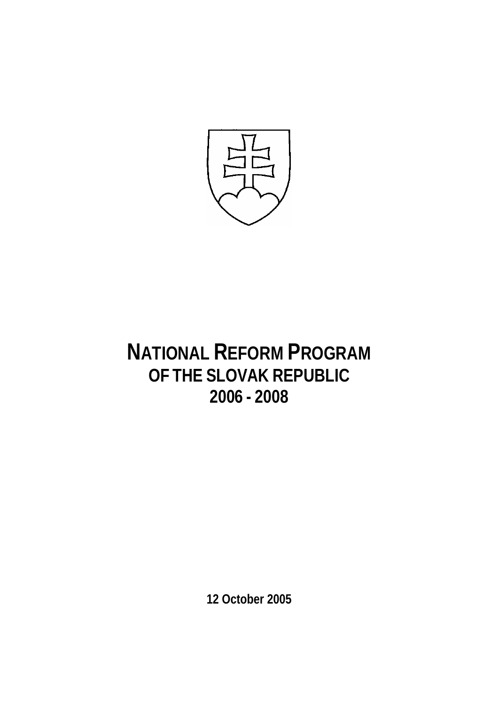

# **NATIONAL REFORM PROGRAM OF THE SLOVAK REPUBLIC 2006 - 2008**

**12 October 2005**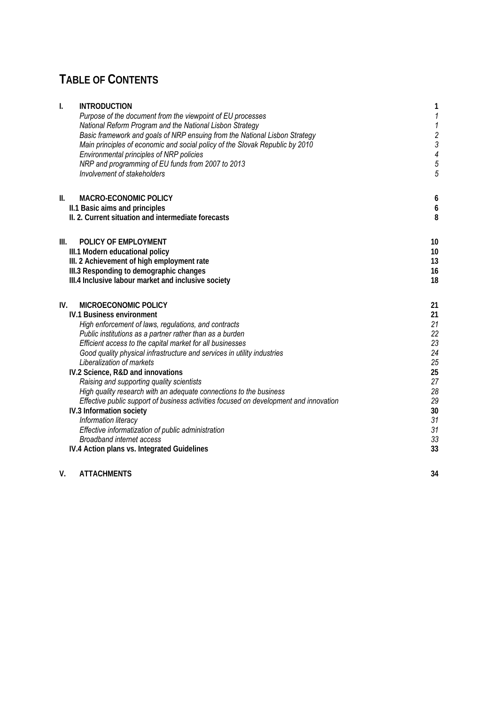# **TABLE OF CONTENTS**

| I.<br><b>INTRODUCTION</b><br>Purpose of the document from the viewpoint of EU processes<br>National Reform Program and the National Lisbon Strategy | 1<br>$\boldsymbol{\mathit{1}}$<br>$\boldsymbol{\mathcal{I}}$ |
|-----------------------------------------------------------------------------------------------------------------------------------------------------|--------------------------------------------------------------|
| Basic framework and goals of NRP ensuing from the National Lisbon Strategy                                                                          |                                                              |
| Main principles of economic and social policy of the Slovak Republic by 2010                                                                        | $\frac{2}{3}$                                                |
| Environmental principles of NRP policies                                                                                                            | $\overline{\mathcal{A}}$                                     |
| NRP and programming of EU funds from 2007 to 2013                                                                                                   | 5                                                            |
| Involvement of stakeholders                                                                                                                         | 5                                                            |
| <b>MACRO-ECONOMIC POLICY</b><br>H.                                                                                                                  | 6                                                            |
| II.1 Basic aims and principles                                                                                                                      | 6                                                            |
| II. 2. Current situation and intermediate forecasts                                                                                                 | 8                                                            |
| POLICY OF EMPLOYMENT<br>Ш.                                                                                                                          | 10                                                           |
| III.1 Modern educational policy                                                                                                                     | 10                                                           |
| III. 2 Achievement of high employment rate                                                                                                          | 13                                                           |
| III.3 Responding to demographic changes                                                                                                             | 16                                                           |
| III.4 Inclusive labour market and inclusive society                                                                                                 | 18                                                           |
| IV.<br>MICROECONOMIC POLICY                                                                                                                         | 21                                                           |
| <b>IV.1 Business environment</b>                                                                                                                    | 21                                                           |
| High enforcement of laws, regulations, and contracts                                                                                                | 21                                                           |
| Public institutions as a partner rather than as a burden                                                                                            | 22                                                           |
| Efficient access to the capital market for all businesses                                                                                           | 23                                                           |
| Good quality physical infrastructure and services in utility industries                                                                             | 24                                                           |
| Liberalization of markets                                                                                                                           | 25                                                           |
| IV.2 Science, R&D and innovations                                                                                                                   | 25                                                           |
| Raising and supporting quality scientists                                                                                                           | 27                                                           |
| High quality research with an adequate connections to the business                                                                                  | 28                                                           |
| Effective public support of business activities focused on development and innovation                                                               | 29                                                           |
| IV.3 Information society                                                                                                                            | 30                                                           |
| Information literacy                                                                                                                                | 31                                                           |
| Effective informatization of public administration                                                                                                  | 31                                                           |
| <b>Broadband internet access</b>                                                                                                                    | 33                                                           |
| IV.4 Action plans vs. Integrated Guidelines                                                                                                         | 33                                                           |
| V.<br><b>ATTACHMENTS</b>                                                                                                                            | 34                                                           |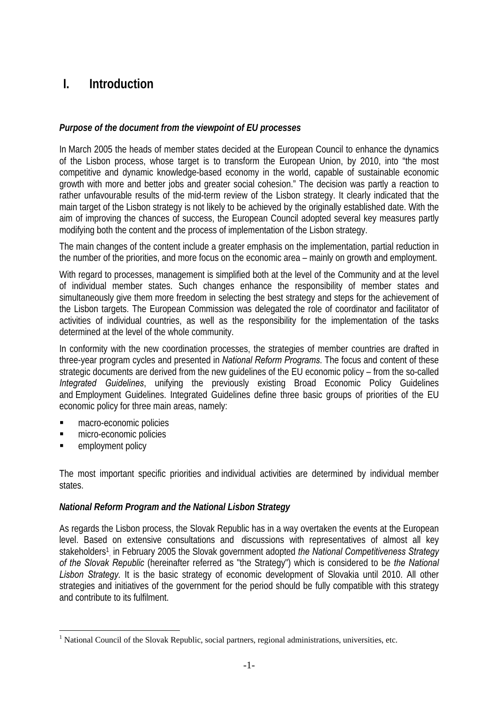# <span id="page-2-0"></span>**I. Introduction**

#### *Purpose of the document from the viewpoint of EU processes*

In March 2005 the heads of member states decided at the European Council to enhance the dynamics of the Lisbon process, whose target is to transform the European Union, by 2010, into "the most competitive and dynamic knowledge-based economy in the world, capable of sustainable economic growth with more and better jobs and greater social cohesion." The decision was partly a reaction to rather unfavourable results of the mid-term review of the Lisbon strategy. It clearly indicated that the main target of the Lisbon strategy is not likely to be achieved by the originally established date. With the aim of improving the chances of success, the European Council adopted several key measures partly modifying both the content and the process of implementation of the Lisbon strategy.

The main changes of the content include a greater emphasis on the implementation, partial reduction in the number of the priorities, and more focus on the economic area – mainly on growth and employment.

With regard to processes, management is simplified both at the level of the Community and at the level of individual member states. Such changes enhance the responsibility of member states and simultaneously give them more freedom in selecting the best strategy and steps for the achievement of the Lisbon targets. The European Commission was delegated the role of coordinator and facilitator of activities of individual countries, as well as the responsibility for the implementation of the tasks determined at the level of the whole community.

In conformity with the new coordination processes, the strategies of member countries are drafted in three-year program cycles and presented in *National Reform Programs*. The focus and content of these strategic documents are derived from the new guidelines of the EU economic policy – from the so-called *Integrated Guidelines*, unifying the previously existing Broad Economic Policy Guidelines and Employment Guidelines. Integrated Guidelines define three basic groups of priorities of the EU economic policy for three main areas, namely:

- macro-economic policies
- micro-economic policies
- employment policy

 $\overline{a}$ 

The most important specific priorities and individual activities are determined by individual member states.

#### *National Reform Program and the National Lisbon Strategy*

As regards the Lisbon process, the Slovak Republic has in a way overtaken the events at the European level. Based on extensive consultations and discussions with representatives of almost all key stakeholders[1](#page-2-1) , in February 2005 the Slovak government adopted *the National Competitiveness Strategy of the Slovak Republic* (hereinafter referred as "the Strategy") which is considered to be *the National Lisbon Strategy.* It is the basic strategy of economic development of Slovakia until 2010. All other strategies and initiatives of the government for the period should be fully compatible with this strategy and contribute to its fulfilment.

<span id="page-2-1"></span><sup>&</sup>lt;sup>1</sup> National Council of the Slovak Republic, social partners, regional administrations, universities, etc.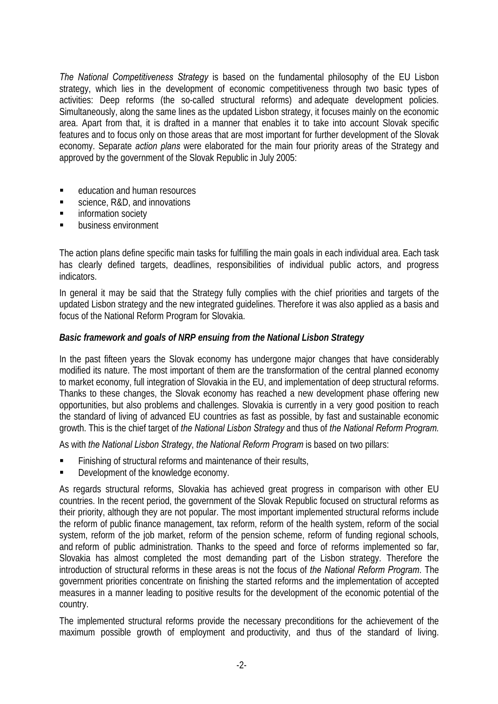<span id="page-3-0"></span>*The National Competitiveness Strategy* is based on the fundamental philosophy of the EU Lisbon strategy, which lies in the development of economic competitiveness through two basic types of activities: Deep reforms (the so-called structural reforms) and adequate development policies. Simultaneously, along the same lines as the updated Lisbon strategy, it focuses mainly on the economic area. Apart from that, it is drafted in a manner that enables it to take into account Slovak specific features and to focus only on those areas that are most important for further development of the Slovak economy. Separate *action plans* were elaborated for the main four priority areas of the Strategy and approved by the government of the Slovak Republic in July 2005:

- **EXECUTE:** education and human resources
- science, R&D, and innovations
- **n** information society
- business environment

The action plans define specific main tasks for fulfilling the main goals in each individual area. Each task has clearly defined targets, deadlines, responsibilities of individual public actors, and progress indicators.

In general it may be said that the Strategy fully complies with the chief priorities and targets of the updated Lisbon strategy and the new integrated guidelines. Therefore it was also applied as a basis and focus of the National Reform Program for Slovakia.

#### *Basic framework and goals of NRP ensuing from the National Lisbon Strategy*

In the past fifteen years the Slovak economy has undergone major changes that have considerably modified its nature. The most important of them are the transformation of the central planned economy to market economy, full integration of Slovakia in the EU, and implementation of deep structural reforms. Thanks to these changes, the Slovak economy has reached a new development phase offering new opportunities, but also problems and challenges. Slovakia is currently in a very good position to reach the standard of living of advanced EU countries as fast as possible, by fast and sustainable economic growth. This is the chief target of *the National Lisbon Strategy* and thus of *the National Reform Program.* 

As with *the National Lisbon Strategy*, *the National Reform Program* is based on two pillars:

- Finishing of structural reforms and maintenance of their results,
- Development of the knowledge economy.

As regards structural reforms, Slovakia has achieved great progress in comparison with other EU countries. In the recent period, the government of the Slovak Republic focused on structural reforms as their priority, although they are not popular. The most important implemented structural reforms include the reform of public finance management, tax reform, reform of the health system, reform of the social system, reform of the job market, reform of the pension scheme, reform of funding regional schools, and reform of public administration. Thanks to the speed and force of reforms implemented so far, Slovakia has almost completed the most demanding part of the Lisbon strategy. Therefore the introduction of structural reforms in these areas is not the focus of *the National Reform Program*. The government priorities concentrate on finishing the started reforms and the implementation of accepted measures in a manner leading to positive results for the development of the economic potential of the country.

The implemented structural reforms provide the necessary preconditions for the achievement of the maximum possible growth of employment and productivity, and thus of the standard of living.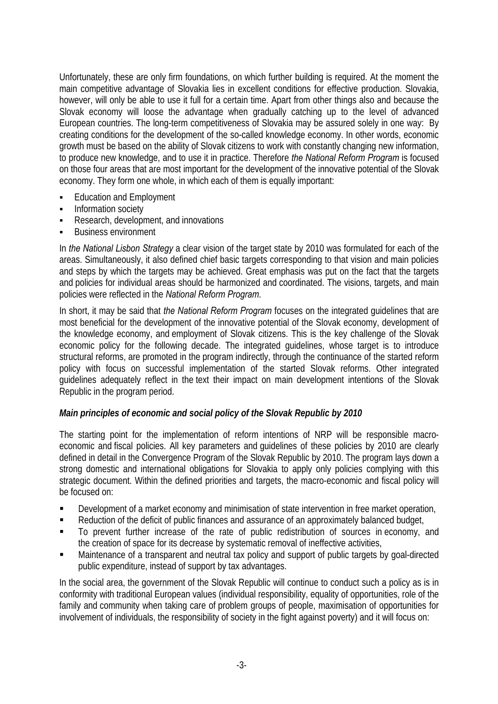<span id="page-4-0"></span>Unfortunately, these are only firm foundations, on which further building is required. At the moment the main competitive advantage of Slovakia lies in excellent conditions for effective production. Slovakia, however, will only be able to use it full for a certain time. Apart from other things also and because the Slovak economy will loose the advantage when gradually catching up to the level of advanced European countries. The long-term competitiveness of Slovakia may be assured solely in one way: By creating conditions for the development of the so-called knowledge economy. In other words, economic growth must be based on the ability of Slovak citizens to work with constantly changing new information, to produce new knowledge, and to use it in practice. Therefore *the National Reform Program* is focused on those four areas that are most important for the development of the innovative potential of the Slovak economy. They form one whole, in which each of them is equally important:

- Education and Employment
- Information society
- Research, development, and innovations
- Business environment

In *the National Lisbon Strategy* a clear vision of the target state by 2010 was formulated for each of the areas. Simultaneously, it also defined chief basic targets corresponding to that vision and main policies and steps by which the targets may be achieved. Great emphasis was put on the fact that the targets and policies for individual areas should be harmonized and coordinated. The visions, targets, and main policies were reflected in the *National Reform Program*.

In short, it may be said that *the National Reform Program* focuses on the integrated guidelines that are most beneficial for the development of the innovative potential of the Slovak economy, development of the knowledge economy, and employment of Slovak citizens. This is the key challenge of the Slovak economic policy for the following decade. The integrated guidelines, whose target is to introduce structural reforms, are promoted in the program indirectly, through the continuance of the started reform policy with focus on successful implementation of the started Slovak reforms. Other integrated guidelines adequately reflect in the text their impact on main development intentions of the Slovak Republic in the program period.

#### *Main principles of economic and social policy of the Slovak Republic by 2010*

The starting point for the implementation of reform intentions of NRP will be responsible macroeconomic and fiscal policies. All key parameters and guidelines of these policies by 2010 are clearly defined in detail in the Convergence Program of the Slovak Republic by 2010. The program lays down a strong domestic and international obligations for Slovakia to apply only policies complying with this strategic document. Within the defined priorities and targets, the macro-economic and fiscal policy will be focused on:

- Development of a market economy and minimisation of state intervention in free market operation,
- Reduction of the deficit of public finances and assurance of an approximately balanced budget,
- To prevent further increase of the rate of public redistribution of sources in economy, and the creation of space for its decrease by systematic removal of ineffective activities,
- Maintenance of a transparent and neutral tax policy and support of public targets by goal-directed public expenditure, instead of support by tax advantages.

In the social area, the government of the Slovak Republic will continue to conduct such a policy as is in conformity with traditional European values (individual responsibility, equality of opportunities, role of the family and community when taking care of problem groups of people, maximisation of opportunities for involvement of individuals, the responsibility of society in the fight against poverty) and it will focus on: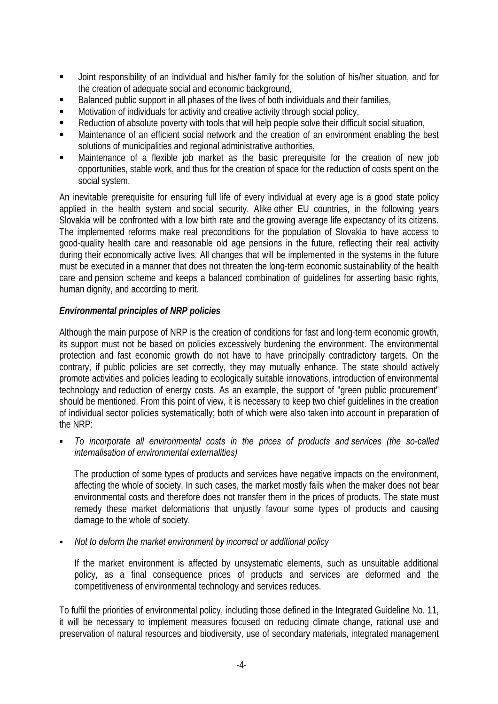- <span id="page-5-0"></span> Joint responsibility of an individual and his/her family for the solution of his/her situation, and for the creation of adequate social and economic background,
- Balanced public support in all phases of the lives of both individuals and their families,
- **Motivation of individuals for activity and creative activity through social policy,**
- Reduction of absolute poverty with tools that will help people solve their difficult social situation,
- Maintenance of an efficient social network and the creation of an environment enabling the best solutions of municipalities and regional administrative authorities,
- Maintenance of a flexible job market as the basic prerequisite for the creation of new job opportunities, stable work, and thus for the creation of space for the reduction of costs spent on the social system.

An inevitable prerequisite for ensuring full life of every individual at every age is a good state policy applied in the health system and social security. Alike other EU countries, in the following years Slovakia will be confronted with a low birth rate and the growing average life expectancy of its citizens. The implemented reforms make real preconditions for the population of Slovakia to have access to good-quality health care and reasonable old age pensions in the future, reflecting their real activity during their economically active lives. All changes that will be implemented in the systems in the future must be executed in a manner that does not threaten the long-term economic sustainability of the health care and pension scheme and keeps a balanced combination of guidelines for asserting basic rights, human dignity, and according to merit.

#### *Environmental principles of NRP policies*

Although the main purpose of NRP is the creation of conditions for fast and long-term economic growth, its support must not be based on policies excessively burdening the environment. The environmental protection and fast economic growth do not have to have principally contradictory targets. On the contrary, if public policies are set correctly, they may mutually enhance. The state should actively promote activities and policies leading to ecologically suitable innovations, introduction of environmental technology and reduction of energy costs. As an example, the support of "green public procurement" should be mentioned. From this point of view, it is necessary to keep two chief guidelines in the creation of individual sector policies systematically; both of which were also taken into account in preparation of the NRP:

 *To incorporate all environmental costs in the prices of products and services (the so-called internalisation of environmental externalities)* 

The production of some types of products and services have negative impacts on the environment, affecting the whole of society. In such cases, the market mostly fails when the maker does not bear environmental costs and therefore does not transfer them in the prices of products. The state must remedy these market deformations that unjustly favour some types of products and causing damage to the whole of society.

*Not to deform the market environment by incorrect or additional policy* 

If the market environment is affected by unsystematic elements, such as unsuitable additional policy, as a final consequence prices of products and services are deformed and the competitiveness of environmental technology and services reduces.

To fulfil the priorities of environmental policy, including those defined in the Integrated Guideline No. 11, it will be necessary to implement measures focused on reducing climate change, rational use and preservation of natural resources and biodiversity, use of secondary materials, integrated management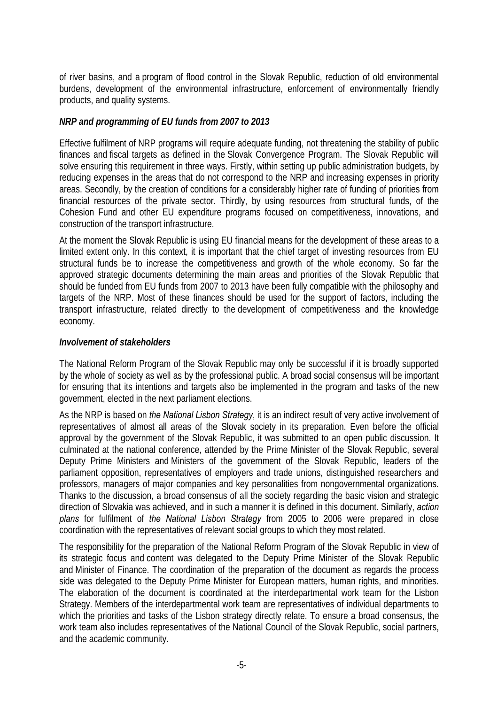<span id="page-6-0"></span>of river basins, and a program of flood control in the Slovak Republic, reduction of old environmental burdens, development of the environmental infrastructure, enforcement of environmentally friendly products, and quality systems.

#### *NRP and programming of EU funds from 2007 to 2013*

Effective fulfilment of NRP programs will require adequate funding, not threatening the stability of public finances and fiscal targets as defined in the Slovak Convergence Program. The Slovak Republic will solve ensuring this requirement in three ways. Firstly, within setting up public administration budgets, by reducing expenses in the areas that do not correspond to the NRP and increasing expenses in priority areas. Secondly, by the creation of conditions for a considerably higher rate of funding of priorities from financial resources of the private sector. Thirdly, by using resources from structural funds, of the Cohesion Fund and other EU expenditure programs focused on competitiveness, innovations, and construction of the transport infrastructure.

At the moment the Slovak Republic is using EU financial means for the development of these areas to a limited extent only. In this context, it is important that the chief target of investing resources from EU structural funds be to increase the competitiveness and growth of the whole economy. So far the approved strategic documents determining the main areas and priorities of the Slovak Republic that should be funded from EU funds from 2007 to 2013 have been fully compatible with the philosophy and targets of the NRP. Most of these finances should be used for the support of factors, including the transport infrastructure, related directly to the development of competitiveness and the knowledge economy.

#### *Involvement of stakeholders*

The National Reform Program of the Slovak Republic may only be successful if it is broadly supported by the whole of society as well as by the professional public. A broad social consensus will be important for ensuring that its intentions and targets also be implemented in the program and tasks of the new government, elected in the next parliament elections.

As the NRP is based on *the National Lisbon Strategy*, it is an indirect result of very active involvement of representatives of almost all areas of the Slovak society in its preparation. Even before the official approval by the government of the Slovak Republic, it was submitted to an open public discussion. It culminated at the national conference, attended by the Prime Minister of the Slovak Republic, several Deputy Prime Ministers and Ministers of the government of the Slovak Republic, leaders of the parliament opposition, representatives of employers and trade unions, distinguished researchers and professors, managers of major companies and key personalities from nongovernmental organizations. Thanks to the discussion, a broad consensus of all the society regarding the basic vision and strategic direction of Slovakia was achieved, and in such a manner it is defined in this document. Similarly, *action plans* for fulfilment of *the National Lisbon Strategy* from 2005 to 2006 were prepared in close coordination with the representatives of relevant social groups to which they most related.

The responsibility for the preparation of the National Reform Program of the Slovak Republic in view of its strategic focus and content was delegated to the Deputy Prime Minister of the Slovak Republic and Minister of Finance. The coordination of the preparation of the document as regards the process side was delegated to the Deputy Prime Minister for European matters, human rights, and minorities. The elaboration of the document is coordinated at the interdepartmental work team for the Lisbon Strategy. Members of the interdepartmental work team are representatives of individual departments to which the priorities and tasks of the Lisbon strategy directly relate. To ensure a broad consensus, the work team also includes representatives of the National Council of the Slovak Republic, social partners, and the academic community.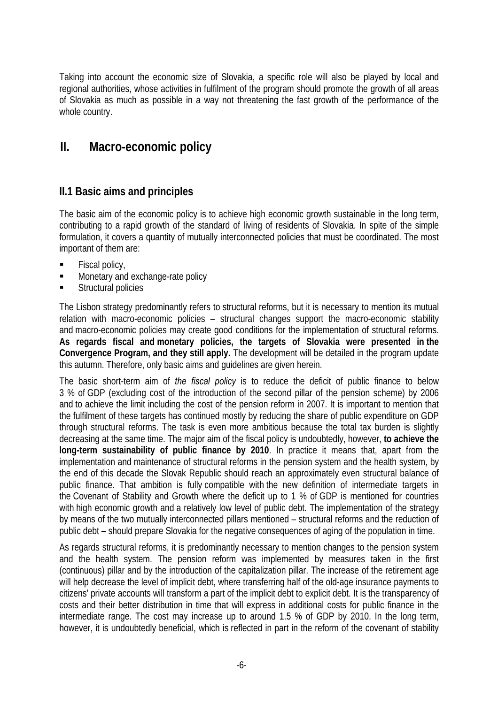<span id="page-7-0"></span>Taking into account the economic size of Slovakia, a specific role will also be played by local and regional authorities, whose activities in fulfilment of the program should promote the growth of all areas of Slovakia as much as possible in a way not threatening the fast growth of the performance of the whole country.

# **II. Macro-economic policy**

# **II.1 Basic aims and principles**

The basic aim of the economic policy is to achieve high economic growth sustainable in the long term, contributing to a rapid growth of the standard of living of residents of Slovakia. In spite of the simple formulation, it covers a quantity of mutually interconnected policies that must be coordinated. The most important of them are:

- $\blacksquare$  Fiscal policy,
- Monetary and exchange-rate policy
- **Structural policies**

The Lisbon strategy predominantly refers to structural reforms, but it is necessary to mention its mutual relation with macro-economic policies – structural changes support the macro-economic stability and macro-economic policies may create good conditions for the implementation of structural reforms. **As regards fiscal and monetary policies, the targets of Slovakia were presented in the Convergence Program, and they still apply.** The development will be detailed in the program update this autumn. Therefore, only basic aims and guidelines are given herein.

The basic short-term aim of *the fiscal policy* is to reduce the deficit of public finance to below 3 % of GDP (excluding cost of the introduction of the second pillar of the pension scheme) by 2006 and to achieve the limit including the cost of the pension reform in 2007. It is important to mention that the fulfilment of these targets has continued mostly by reducing the share of public expenditure on GDP through structural reforms. The task is even more ambitious because the total tax burden is slightly decreasing at the same time. The major aim of the fiscal policy is undoubtedly, however, **to achieve the long-term sustainability of public finance by 2010**. In practice it means that, apart from the implementation and maintenance of structural reforms in the pension system and the health system, by the end of this decade the Slovak Republic should reach an approximately even structural balance of public finance. That ambition is fully compatible with the new definition of intermediate targets in the Covenant of Stability and Growth where the deficit up to 1 % of GDP is mentioned for countries with high economic growth and a relatively low level of public debt. The implementation of the strategy by means of the two mutually interconnected pillars mentioned – structural reforms and the reduction of public debt – should prepare Slovakia for the negative consequences of aging of the population in time.

As regards structural reforms, it is predominantly necessary to mention changes to the pension system and the health system. The pension reform was implemented by measures taken in the first (continuous) pillar and by the introduction of the capitalization pillar. The increase of the retirement age will help decrease the level of implicit debt, where transferring half of the old-age insurance payments to citizens' private accounts will transform a part of the implicit debt to explicit debt. It is the transparency of costs and their better distribution in time that will express in additional costs for public finance in the intermediate range. The cost may increase up to around 1.5 % of GDP by 2010. In the long term, however, it is undoubtedly beneficial, which is reflected in part in the reform of the covenant of stability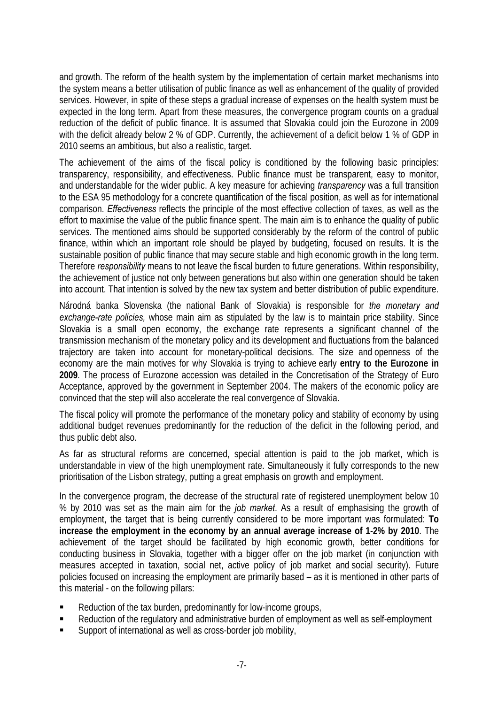and growth. The reform of the health system by the implementation of certain market mechanisms into the system means a better utilisation of public finance as well as enhancement of the quality of provided services. However, in spite of these steps a gradual increase of expenses on the health system must be expected in the long term. Apart from these measures, the convergence program counts on a gradual reduction of the deficit of public finance. It is assumed that Slovakia could join the Eurozone in 2009 with the deficit already below 2 % of GDP. Currently, the achievement of a deficit below 1 % of GDP in 2010 seems an ambitious, but also a realistic, target.

The achievement of the aims of the fiscal policy is conditioned by the following basic principles: transparency, responsibility, and effectiveness. Public finance must be transparent, easy to monitor, and understandable for the wider public. A key measure for achieving *transparency* was a full transition to the ESA 95 methodology for a concrete quantification of the fiscal position, as well as for international comparison. *Effectiveness* reflects the principle of the most effective collection of taxes, as well as the effort to maximise the value of the public finance spent. The main aim is to enhance the quality of public services. The mentioned aims should be supported considerably by the reform of the control of public finance, within which an important role should be played by budgeting, focused on results. It is the sustainable position of public finance that may secure stable and high economic growth in the long term. Therefore *responsibility* means to not leave the fiscal burden to future generations. Within responsibility, the achievement of justice not only between generations but also within one generation should be taken into account. That intention is solved by the new tax system and better distribution of public expenditure.

Národná banka Slovenska (the national Bank of Slovakia) is responsible for *the monetary and exchange-rate policies,* whose main aim as stipulated by the law is to maintain price stability. Since Slovakia is a small open economy, the exchange rate represents a significant channel of the transmission mechanism of the monetary policy and its development and fluctuations from the balanced trajectory are taken into account for monetary-political decisions. The size and openness of the economy are the main motives for why Slovakia is trying to achieve early **entry to the Eurozone in 2009**. The process of Eurozone accession was detailed in the Concretisation of the Strategy of Euro Acceptance, approved by the government in September 2004. The makers of the economic policy are convinced that the step will also accelerate the real convergence of Slovakia.

The fiscal policy will promote the performance of the monetary policy and stability of economy by using additional budget revenues predominantly for the reduction of the deficit in the following period, and thus public debt also.

As far as structural reforms are concerned, special attention is paid to the job market, which is understandable in view of the high unemployment rate. Simultaneously it fully corresponds to the new prioritisation of the Lisbon strategy, putting a great emphasis on growth and employment.

In the convergence program, the decrease of the structural rate of registered unemployment below 10 % by 2010 was set as the main aim for the *job market*. As a result of emphasising the growth of employment, the target that is being currently considered to be more important was formulated: **To increase the employment in the economy by an annual average increase of 1-2% by 2010**. The achievement of the target should be facilitated by high economic growth, better conditions for conducting business in Slovakia, together with a bigger offer on the job market (in conjunction with measures accepted in taxation, social net, active policy of job market and social security). Future policies focused on increasing the employment are primarily based – as it is mentioned in other parts of this material - on the following pillars:

- Reduction of the tax burden, predominantly for low-income groups,
- Reduction of the regulatory and administrative burden of employment as well as self-employment
- Support of international as well as cross-border job mobility,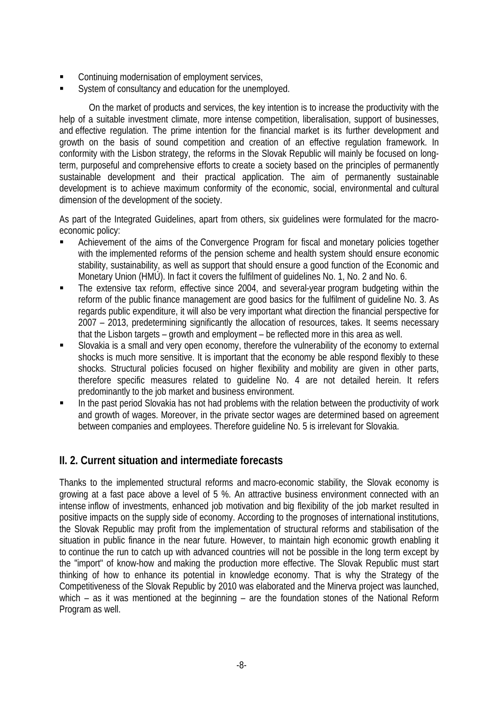- <span id="page-9-0"></span>Continuing modernisation of employment services,
- System of consultancy and education for the unemployed.

On the market of products and services, the key intention is to increase the productivity with the help of a suitable investment climate, more intense competition, liberalisation, support of businesses, and effective regulation. The prime intention for the financial market is its further development and growth on the basis of sound competition and creation of an effective regulation framework. In conformity with the Lisbon strategy, the reforms in the Slovak Republic will mainly be focused on longterm, purposeful and comprehensive efforts to create a society based on the principles of permanently sustainable development and their practical application. The aim of permanently sustainable development is to achieve maximum conformity of the economic, social, environmental and cultural dimension of the development of the society.

As part of the Integrated Guidelines, apart from others, six guidelines were formulated for the macroeconomic policy:

- Achievement of the aims of the Convergence Program for fiscal and monetary policies together with the implemented reforms of the pension scheme and health system should ensure economic stability, sustainability, as well as support that should ensure a good function of the Economic and Monetary Union (HMÚ). In fact it covers the fulfilment of guidelines No. 1, No. 2 and No. 6.
- The extensive tax reform, effective since 2004, and several-year program budgeting within the reform of the public finance management are good basics for the fulfilment of guideline No. 3. As regards public expenditure, it will also be very important what direction the financial perspective for 2007 – 2013, predetermining significantly the allocation of resources, takes. It seems necessary that the Lisbon targets – growth and employment – be reflected more in this area as well.
- Slovakia is a small and very open economy, therefore the vulnerability of the economy to external shocks is much more sensitive. It is important that the economy be able respond flexibly to these shocks. Structural policies focused on higher flexibility and mobility are given in other parts, therefore specific measures related to guideline No. 4 are not detailed herein. It refers predominantly to the job market and business environment.
- In the past period Slovakia has not had problems with the relation between the productivity of work and growth of wages. Moreover, in the private sector wages are determined based on agreement between companies and employees. Therefore guideline No. 5 is irrelevant for Slovakia.

### **II. 2. Current situation and intermediate forecasts**

Thanks to the implemented structural reforms and macro-economic stability, the Slovak economy is growing at a fast pace above a level of 5 %. An attractive business environment connected with an intense inflow of investments, enhanced job motivation and big flexibility of the job market resulted in positive impacts on the supply side of economy. According to the prognoses of international institutions, the Slovak Republic may profit from the implementation of structural reforms and stabilisation of the situation in public finance in the near future. However, to maintain high economic growth enabling it to continue the run to catch up with advanced countries will not be possible in the long term except by the "import" of know-how and making the production more effective. The Slovak Republic must start thinking of how to enhance its potential in knowledge economy. That is why the Strategy of the Competitiveness of the Slovak Republic by 2010 was elaborated and the Minerva project was launched, which – as it was mentioned at the beginning – are the foundation stones of the National Reform Program as well.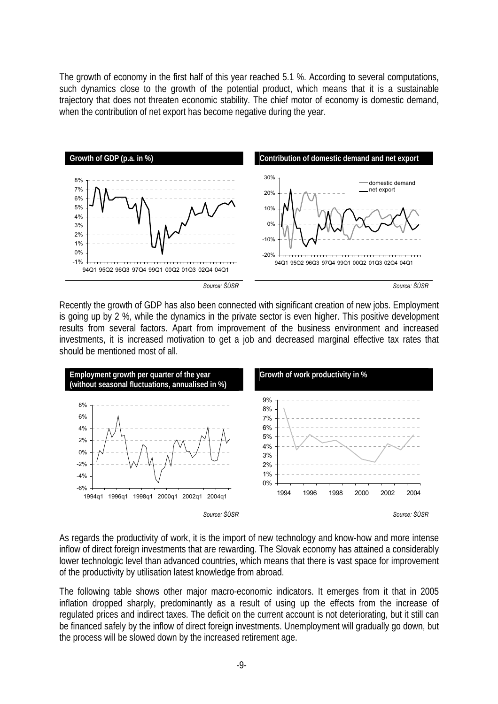The growth of economy in the first half of this year reached 5.1 %. According to several computations, such dynamics close to the growth of the potential product, which means that it is a sustainable trajectory that does not threaten economic stability. The chief motor of economy is domestic demand, when the contribution of net export has become negative during the year.



Recently the growth of GDP has also been connected with significant creation of new jobs. Employment is going up by 2 %, while the dynamics in the private sector is even higher. This positive development results from several factors. Apart from improvement of the business environment and increased investments, it is increased motivation to get a job and decreased marginal effective tax rates that should be mentioned most of all.



As regards the productivity of work, it is the import of new technology and know-how and more intense inflow of direct foreign investments that are rewarding. The Slovak economy has attained a considerably lower technologic level than advanced countries, which means that there is vast space for improvement of the productivity by utilisation latest knowledge from abroad.

The following table shows other major macro-economic indicators. It emerges from it that in 2005 inflation dropped sharply, predominantly as a result of using up the effects from the increase of regulated prices and indirect taxes. The deficit on the current account is not deteriorating, but it still can be financed safely by the inflow of direct foreign investments. Unemployment will gradually go down, but the process will be slowed down by the increased retirement age.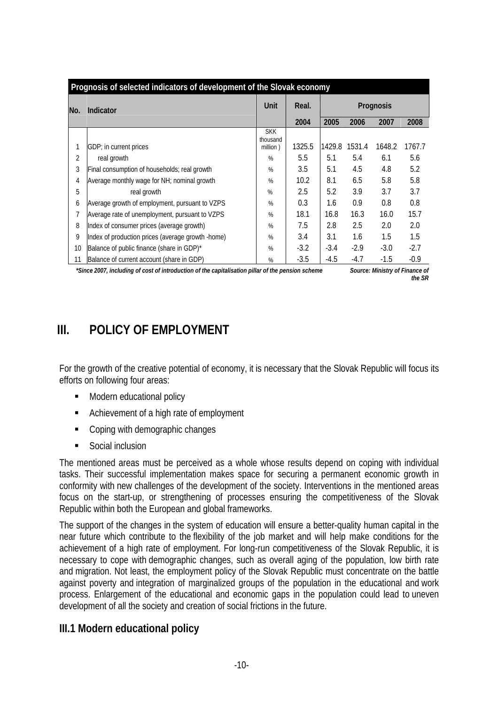<span id="page-11-0"></span>

| Prognosis of selected indicators of development of the Slovak economy |                                                                                                                                         |                                    |        |        |        |           |        |
|-----------------------------------------------------------------------|-----------------------------------------------------------------------------------------------------------------------------------------|------------------------------------|--------|--------|--------|-----------|--------|
| No.                                                                   | Indicator                                                                                                                               | Unit                               | Real.  |        |        | Prognosis |        |
|                                                                       |                                                                                                                                         |                                    | 2004   | 2005   | 2006   | 2007      | 2008   |
| 1                                                                     | GDP; in current prices                                                                                                                  | <b>SKK</b><br>thousand<br>million) | 1325.5 | 1429.8 | 1531.4 | 1648.2    | 1767.7 |
| 2                                                                     | real growth                                                                                                                             | %                                  | 5.5    | 5.1    | 5.4    | 6.1       | 5.6    |
| 3                                                                     | Final consumption of households; real growth                                                                                            | %                                  | 3.5    | 5.1    | 4.5    | 4.8       | 5.2    |
| 4                                                                     | Average monthly wage for NH; nominal growth                                                                                             | %                                  | 10.2   | 8.1    | 6.5    | 5.8       | 5.8    |
| 5                                                                     | real growth                                                                                                                             | %                                  | 2.5    | 5.2    | 3.9    | 3.7       | 3.7    |
| 6                                                                     | Average growth of employment, pursuant to VZPS                                                                                          | %                                  | 0.3    | 1.6    | 0.9    | 0.8       | 0.8    |
| 7                                                                     | Average rate of unemployment, pursuant to VZPS                                                                                          | %                                  | 18.1   | 16.8   | 16.3   | 16.0      | 15.7   |
| 8                                                                     | Index of consumer prices (average growth)                                                                                               | %                                  | 7.5    | 2.8    | 2.5    | 2.0       | 2.0    |
| 9                                                                     | Index of production prices (average growth -home)                                                                                       | %                                  | 3.4    | 3.1    | 1.6    | 1.5       | 1.5    |
| 10                                                                    | Balance of public finance (share in GDP)*                                                                                               | %                                  | $-3.2$ | $-3.4$ | $-2.9$ | $-3.0$    | $-2.7$ |
| 11                                                                    | Balance of current account (share in GDP)                                                                                               | %                                  | $-3.5$ | $-4.5$ | $-4.7$ | $-1.5$    | $-0.9$ |
|                                                                       | *Class 2007, laskedberg of soot of later decition of the southelisation willow of the monoism solomon<br>Course, Ministry of Figures of |                                    |        |        |        |           |        |

*\*Since 2007, including of cost of introduction of the capitalisation pillar of the pension scheme Source: Ministry of Finance of* 

*the SR*

# **III.** POLICY OF EMPLOYMENT

For the growth of the creative potential of economy, it is necessary that the Slovak Republic will focus its efforts on following four areas:

- **Modern educational policy**
- Achievement of a high rate of employment
- Coping with demographic changes
- Social inclusion

The mentioned areas must be perceived as a whole whose results depend on coping with individual tasks. Their successful implementation makes space for securing a permanent economic growth in conformity with new challenges of the development of the society. Interventions in the mentioned areas focus on the start-up, or strengthening of processes ensuring the competitiveness of the Slovak Republic within both the European and global frameworks.

The support of the changes in the system of education will ensure a better-quality human capital in the near future which contribute to the flexibility of the job market and will help make conditions for the achievement of a high rate of employment. For long-run competitiveness of the Slovak Republic, it is necessary to cope with demographic changes, such as overall aging of the population, low birth rate and migration. Not least, the employment policy of the Slovak Republic must concentrate on the battle against poverty and integration of marginalized groups of the population in the educational and work process. Enlargement of the educational and economic gaps in the population could lead to uneven development of all the society and creation of social frictions in the future.

### **III.1 Modern educational policy**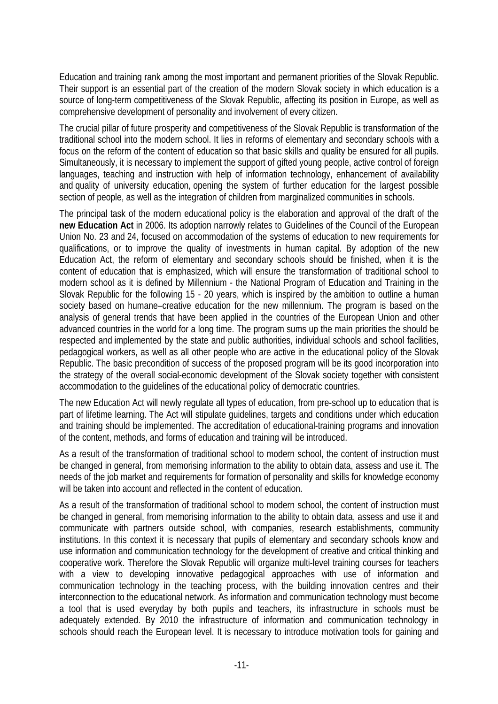Education and training rank among the most important and permanent priorities of the Slovak Republic. Their support is an essential part of the creation of the modern Slovak society in which education is a source of long-term competitiveness of the Slovak Republic, affecting its position in Europe, as well as comprehensive development of personality and involvement of every citizen.

The crucial pillar of future prosperity and competitiveness of the Slovak Republic is transformation of the traditional school into the modern school. It lies in reforms of elementary and secondary schools with a focus on the reform of the content of education so that basic skills and quality be ensured for all pupils. Simultaneously, it is necessary to implement the support of gifted young people, active control of foreign languages, teaching and instruction with help of information technology, enhancement of availability and quality of university education, opening the system of further education for the largest possible section of people, as well as the integration of children from marginalized communities in schools.

The principal task of the modern educational policy is the elaboration and approval of the draft of the **new Education Act** in 2006. Its adoption narrowly relates to Guidelines of the Council of the European Union No. 23 and 24, focused on accommodation of the systems of education to new requirements for qualifications, or to improve the quality of investments in human capital. By adoption of the new Education Act, the reform of elementary and secondary schools should be finished, when it is the content of education that is emphasized, which will ensure the transformation of traditional school to modern school as it is defined by Millennium - the National Program of Education and Training in the Slovak Republic for the following 15 - 20 years, which is inspired by the ambition to outline a human society based on humane–creative education for the new millennium. The program is based on the analysis of general trends that have been applied in the countries of the European Union and other advanced countries in the world for a long time. The program sums up the main priorities the should be respected and implemented by the state and public authorities, individual schools and school facilities, pedagogical workers, as well as all other people who are active in the educational policy of the Slovak Republic. The basic precondition of success of the proposed program will be its good incorporation into the strategy of the overall social-economic development of the Slovak society together with consistent accommodation to the guidelines of the educational policy of democratic countries.

The new Education Act will newly regulate all types of education, from pre-school up to education that is part of lifetime learning. The Act will stipulate guidelines, targets and conditions under which education and training should be implemented. The accreditation of educational-training programs and innovation of the content, methods, and forms of education and training will be introduced.

As a result of the transformation of traditional school to modern school, the content of instruction must be changed in general, from memorising information to the ability to obtain data, assess and use it. The needs of the job market and requirements for formation of personality and skills for knowledge economy will be taken into account and reflected in the content of education.

As a result of the transformation of traditional school to modern school, the content of instruction must be changed in general, from memorising information to the ability to obtain data, assess and use it and communicate with partners outside school, with companies, research establishments, community institutions. In this context it is necessary that pupils of elementary and secondary schools know and use information and communication technology for the development of creative and critical thinking and cooperative work. Therefore the Slovak Republic will organize multi-level training courses for teachers with a view to developing innovative pedagogical approaches with use of information and communication technology in the teaching process, with the building innovation centres and their interconnection to the educational network. As information and communication technology must become a tool that is used everyday by both pupils and teachers, its infrastructure in schools must be adequately extended. By 2010 the infrastructure of information and communication technology in schools should reach the European level. It is necessary to introduce motivation tools for gaining and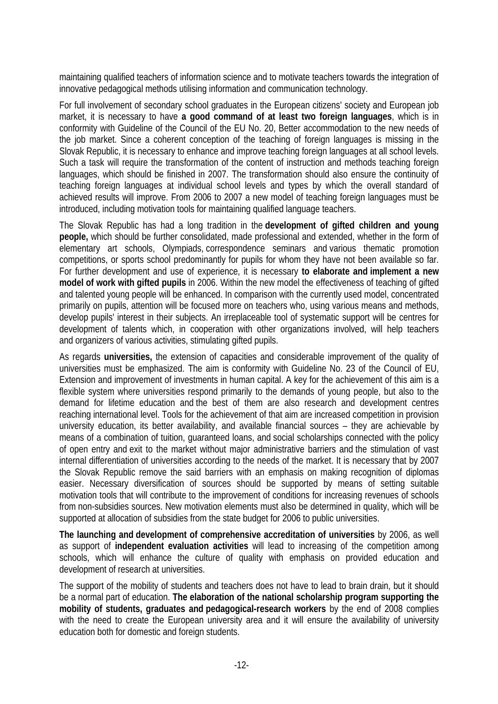maintaining qualified teachers of information science and to motivate teachers towards the integration of innovative pedagogical methods utilising information and communication technology.

For full involvement of secondary school graduates in the European citizens' society and European job market, it is necessary to have **a good command of at least two foreign languages**, which is in conformity with Guideline of the Council of the EU No. 20, Better accommodation to the new needs of the job market. Since a coherent conception of the teaching of foreign languages is missing in the Slovak Republic, it is necessary to enhance and improve teaching foreign languages at all school levels. Such a task will require the transformation of the content of instruction and methods teaching foreign languages, which should be finished in 2007. The transformation should also ensure the continuity of teaching foreign languages at individual school levels and types by which the overall standard of achieved results will improve. From 2006 to 2007 a new model of teaching foreign languages must be introduced, including motivation tools for maintaining qualified language teachers.

The Slovak Republic has had a long tradition in the **development of gifted children and young people,** which should be further consolidated, made professional and extended, whether in the form of elementary art schools, Olympiads, correspondence seminars and various thematic promotion competitions, or sports school predominantly for pupils for whom they have not been available so far. For further development and use of experience, it is necessary **to elaborate and implement a new model of work with gifted pupils** in 2006. Within the new model the effectiveness of teaching of gifted and talented young people will be enhanced. In comparison with the currently used model, concentrated primarily on pupils, attention will be focused more on teachers who, using various means and methods, develop pupils' interest in their subjects. An irreplaceable tool of systematic support will be centres for development of talents which, in cooperation with other organizations involved, will help teachers and organizers of various activities, stimulating gifted pupils.

As regards **universities,** the extension of capacities and considerable improvement of the quality of universities must be emphasized. The aim is conformity with Guideline No. 23 of the Council of EU, Extension and improvement of investments in human capital. A key for the achievement of this aim is a flexible system where universities respond primarily to the demands of young people, but also to the demand for lifetime education and the best of them are also research and development centres reaching international level. Tools for the achievement of that aim are increased competition in provision university education, its better availability, and available financial sources – they are achievable by means of a combination of tuition, guaranteed loans, and social scholarships connected with the policy of open entry and exit to the market without major administrative barriers and the stimulation of vast internal differentiation of universities according to the needs of the market. It is necessary that by 2007 the Slovak Republic remove the said barriers with an emphasis on making recognition of diplomas easier. Necessary diversification of sources should be supported by means of setting suitable motivation tools that will contribute to the improvement of conditions for increasing revenues of schools from non-subsidies sources. New motivation elements must also be determined in quality, which will be supported at allocation of subsidies from the state budget for 2006 to public universities.

**The launching and development of comprehensive accreditation of universities** by 2006, as well as support of **independent evaluation activities** will lead to increasing of the competition among schools, which will enhance the culture of quality with emphasis on provided education and development of research at universities.

The support of the mobility of students and teachers does not have to lead to brain drain, but it should be a normal part of education. **The elaboration of the national scholarship program supporting the mobility of students, graduates and pedagogical-research workers** by the end of 2008 complies with the need to create the European university area and it will ensure the availability of university education both for domestic and foreign students.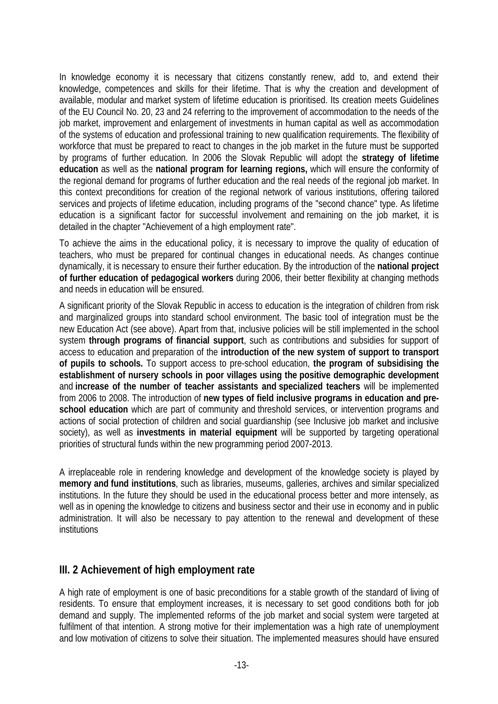<span id="page-14-0"></span>In knowledge economy it is necessary that citizens constantly renew, add to, and extend their knowledge, competences and skills for their lifetime. That is why the creation and development of available, modular and market system of lifetime education is prioritised. Its creation meets Guidelines of the EU Council No. 20, 23 and 24 referring to the improvement of accommodation to the needs of the job market, improvement and enlargement of investments in human capital as well as accommodation of the systems of education and professional training to new qualification requirements. The flexibility of workforce that must be prepared to react to changes in the job market in the future must be supported by programs of further education. In 2006 the Slovak Republic will adopt the **strategy of lifetime education** as well as the **national program for learning regions,** which will ensure the conformity of the regional demand for programs of further education and the real needs of the regional job market. In this context preconditions for creation of the regional network of various institutions, offering tailored services and projects of lifetime education, including programs of the "second chance" type. As lifetime education is a significant factor for successful involvement and remaining on the job market, it is detailed in the chapter "Achievement of a high employment rate".

To achieve the aims in the educational policy, it is necessary to improve the quality of education of teachers, who must be prepared for continual changes in educational needs. As changes continue dynamically, it is necessary to ensure their further education. By the introduction of the **national project of further education of pedagogical workers** during 2006, their better flexibility at changing methods and needs in education will be ensured.

A significant priority of the Slovak Republic in access to education is the integration of children from risk and marginalized groups into standard school environment. The basic tool of integration must be the new Education Act (see above). Apart from that, inclusive policies will be still implemented in the school system **through programs of financial support**, such as contributions and subsidies for support of access to education and preparation of the **introduction of the new system of support to transport of pupils to schools.** To support access to pre-school education, **the program of subsidising the establishment of nursery schools in poor villages using the positive demographic development**  and **increase of the number of teacher assistants and specialized teachers** will be implemented from 2006 to 2008. The introduction of **new types of field inclusive programs in education and preschool education** which are part of community and threshold services, or intervention programs and actions of social protection of children and social guardianship (see Inclusive job market and inclusive society), as well as **investments in material equipment** will be supported by targeting operational priorities of structural funds within the new programming period 2007-2013.

A irreplaceable role in rendering knowledge and development of the knowledge society is played by **memory and fund institutions**, such as libraries, museums, galleries, archives and similar specialized institutions. In the future they should be used in the educational process better and more intensely, as well as in opening the knowledge to citizens and business sector and their use in economy and in public administration. It will also be necessary to pay attention to the renewal and development of these institutions

### **III. 2 Achievement of high employment rate**

A high rate of employment is one of basic preconditions for a stable growth of the standard of living of residents. To ensure that employment increases, it is necessary to set good conditions both for job demand and supply. The implemented reforms of the job market and social system were targeted at fulfilment of that intention. A strong motive for their implementation was a high rate of unemployment and low motivation of citizens to solve their situation. The implemented measures should have ensured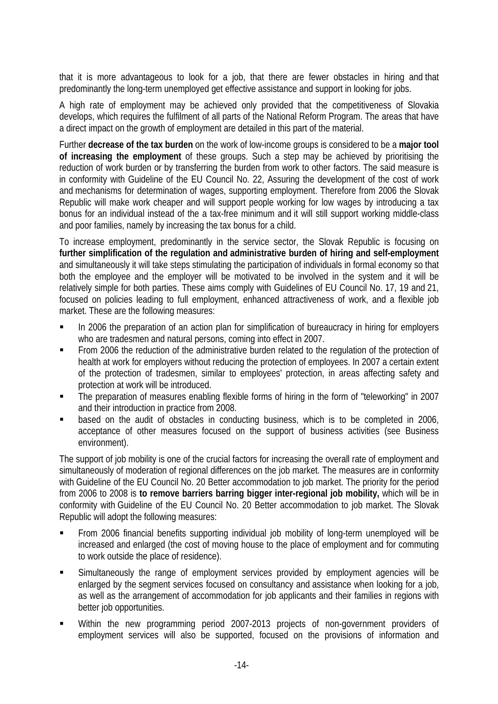that it is more advantageous to look for a job, that there are fewer obstacles in hiring and that predominantly the long-term unemployed get effective assistance and support in looking for jobs.

A high rate of employment may be achieved only provided that the competitiveness of Slovakia develops, which requires the fulfilment of all parts of the National Reform Program. The areas that have a direct impact on the growth of employment are detailed in this part of the material.

Further **decrease of the tax burden** on the work of low-income groups is considered to be a **major tool of increasing the employment** of these groups. Such a step may be achieved by prioritising the reduction of work burden or by transferring the burden from work to other factors. The said measure is in conformity with Guideline of the EU Council No. 22, Assuring the development of the cost of work and mechanisms for determination of wages, supporting employment. Therefore from 2006 the Slovak Republic will make work cheaper and will support people working for low wages by introducing a tax bonus for an individual instead of the a tax-free minimum and it will still support working middle-class and poor families, namely by increasing the tax bonus for a child.

To increase employment, predominantly in the service sector, the Slovak Republic is focusing on **further simplification of the regulation and administrative burden of hiring and self-employment** and simultaneously it will take steps stimulating the participation of individuals in formal economy so that both the employee and the employer will be motivated to be involved in the system and it will be relatively simple for both parties. These aims comply with Guidelines of EU Council No. 17, 19 and 21, focused on policies leading to full employment, enhanced attractiveness of work, and a flexible job market. These are the following measures:

- In 2006 the preparation of an action plan for simplification of bureaucracy in hiring for employers who are tradesmen and natural persons, coming into effect in 2007.
- From 2006 the reduction of the administrative burden related to the regulation of the protection of health at work for employers without reducing the protection of employees. In 2007 a certain extent of the protection of tradesmen, similar to employees' protection, in areas affecting safety and protection at work will be introduced.
- The preparation of measures enabling flexible forms of hiring in the form of "teleworking" in 2007 and their introduction in practice from 2008.
- based on the audit of obstacles in conducting business, which is to be completed in 2006, acceptance of other measures focused on the support of business activities (see Business environment).

The support of job mobility is one of the crucial factors for increasing the overall rate of employment and simultaneously of moderation of regional differences on the job market. The measures are in conformity with Guideline of the EU Council No. 20 Better accommodation to job market. The priority for the period from 2006 to 2008 is **to remove barriers barring bigger inter-regional job mobility,** which will be in conformity with Guideline of the EU Council No. 20 Better accommodation to job market. The Slovak Republic will adopt the following measures:

- From 2006 financial benefits supporting individual job mobility of long-term unemployed will be increased and enlarged (the cost of moving house to the place of employment and for commuting to work outside the place of residence).
- Simultaneously the range of employment services provided by employment agencies will be enlarged by the segment services focused on consultancy and assistance when looking for a job, as well as the arrangement of accommodation for job applicants and their families in regions with better job opportunities.
- Within the new programming period 2007-2013 projects of non-government providers of employment services will also be supported, focused on the provisions of information and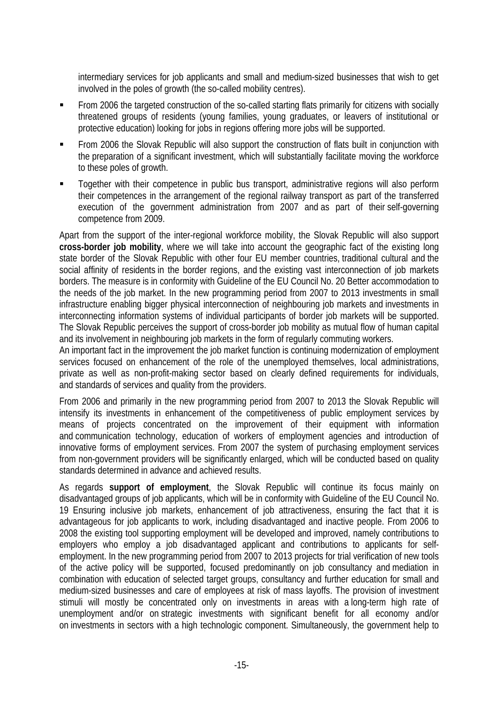intermediary services for job applicants and small and medium-sized businesses that wish to get involved in the poles of growth (the so-called mobility centres).

- From 2006 the targeted construction of the so-called starting flats primarily for citizens with socially threatened groups of residents (young families, young graduates, or leavers of institutional or protective education) looking for jobs in regions offering more jobs will be supported.
- From 2006 the Slovak Republic will also support the construction of flats built in conjunction with the preparation of a significant investment, which will substantially facilitate moving the workforce to these poles of growth.
- Together with their competence in public bus transport, administrative regions will also perform their competences in the arrangement of the regional railway transport as part of the transferred execution of the government administration from 2007 and as part of their self-governing competence from 2009.

Apart from the support of the inter-regional workforce mobility, the Slovak Republic will also support **cross-border job mobility**, where we will take into account the geographic fact of the existing long state border of the Slovak Republic with other four EU member countries, traditional cultural and the social affinity of residents in the border regions, and the existing vast interconnection of job markets borders. The measure is in conformity with Guideline of the EU Council No. 20 Better accommodation to the needs of the job market. In the new programming period from 2007 to 2013 investments in small infrastructure enabling bigger physical interconnection of neighbouring job markets and investments in interconnecting information systems of individual participants of border job markets will be supported. The Slovak Republic perceives the support of cross-border job mobility as mutual flow of human capital and its involvement in neighbouring job markets in the form of regularly commuting workers.

An important fact in the improvement the job market function is continuing modernization of employment services focused on enhancement of the role of the unemployed themselves, local administrations, private as well as non-profit-making sector based on clearly defined requirements for individuals, and standards of services and quality from the providers.

From 2006 and primarily in the new programming period from 2007 to 2013 the Slovak Republic will intensify its investments in enhancement of the competitiveness of public employment services by means of projects concentrated on the improvement of their equipment with information and communication technology, education of workers of employment agencies and introduction of innovative forms of employment services. From 2007 the system of purchasing employment services from non-government providers will be significantly enlarged, which will be conducted based on quality standards determined in advance and achieved results.

As regards **support of employment**, the Slovak Republic will continue its focus mainly on disadvantaged groups of job applicants, which will be in conformity with Guideline of the EU Council No. 19 Ensuring inclusive job markets, enhancement of job attractiveness, ensuring the fact that it is advantageous for job applicants to work, including disadvantaged and inactive people. From 2006 to 2008 the existing tool supporting employment will be developed and improved, namely contributions to employers who employ a job disadvantaged applicant and contributions to applicants for selfemployment. In the new programming period from 2007 to 2013 projects for trial verification of new tools of the active policy will be supported, focused predominantly on job consultancy and mediation in combination with education of selected target groups, consultancy and further education for small and medium-sized businesses and care of employees at risk of mass layoffs. The provision of investment stimuli will mostly be concentrated only on investments in areas with a long-term high rate of unemployment and/or on strategic investments with significant benefit for all economy and/or on investments in sectors with a high technologic component. Simultaneously, the government help to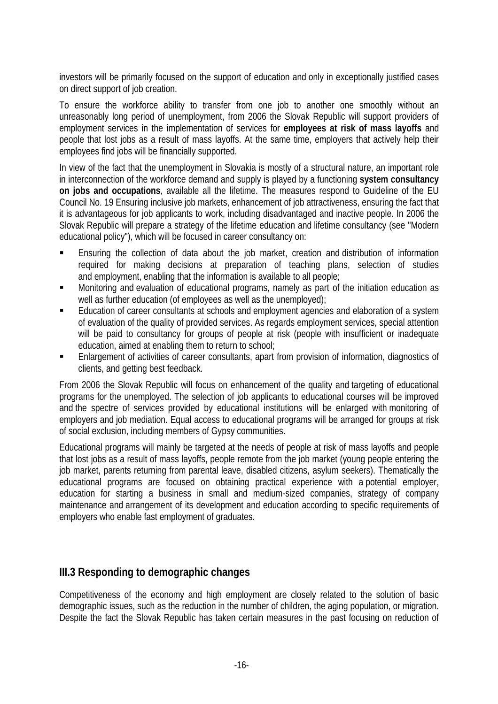<span id="page-17-0"></span>investors will be primarily focused on the support of education and only in exceptionally justified cases on direct support of job creation.

To ensure the workforce ability to transfer from one job to another one smoothly without an unreasonably long period of unemployment, from 2006 the Slovak Republic will support providers of employment services in the implementation of services for **employees at risk of mass layoffs** and people that lost jobs as a result of mass layoffs. At the same time, employers that actively help their employees find jobs will be financially supported.

In view of the fact that the unemployment in Slovakia is mostly of a structural nature, an important role in interconnection of the workforce demand and supply is played by a functioning **system consultancy on jobs and occupations**, available all the lifetime. The measures respond to Guideline of the EU Council No. 19 Ensuring inclusive job markets, enhancement of job attractiveness, ensuring the fact that it is advantageous for job applicants to work, including disadvantaged and inactive people. In 2006 the Slovak Republic will prepare a strategy of the lifetime education and lifetime consultancy (see "Modern educational policy"), which will be focused in career consultancy on:

- Ensuring the collection of data about the job market, creation and distribution of information required for making decisions at preparation of teaching plans, selection of studies and employment, enabling that the information is available to all people;
- Monitoring and evaluation of educational programs, namely as part of the initiation education as well as further education (of employees as well as the unemployed);
- **Education of career consultants at schools and employment agencies and elaboration of a system** of evaluation of the quality of provided services. As regards employment services, special attention will be paid to consultancy for groups of people at risk (people with insufficient or inadequate education, aimed at enabling them to return to school;
- Enlargement of activities of career consultants, apart from provision of information, diagnostics of clients, and getting best feedback.

From 2006 the Slovak Republic will focus on enhancement of the quality and targeting of educational programs for the unemployed. The selection of job applicants to educational courses will be improved and the spectre of services provided by educational institutions will be enlarged with monitoring of employers and job mediation. Equal access to educational programs will be arranged for groups at risk of social exclusion, including members of Gypsy communities.

Educational programs will mainly be targeted at the needs of people at risk of mass layoffs and people that lost jobs as a result of mass layoffs, people remote from the job market (young people entering the job market, parents returning from parental leave, disabled citizens, asylum seekers). Thematically the educational programs are focused on obtaining practical experience with a potential employer, education for starting a business in small and medium-sized companies, strategy of company maintenance and arrangement of its development and education according to specific requirements of employers who enable fast employment of graduates.

### **III.3 Responding to demographic changes**

Competitiveness of the economy and high employment are closely related to the solution of basic demographic issues, such as the reduction in the number of children, the aging population, or migration. Despite the fact the Slovak Republic has taken certain measures in the past focusing on reduction of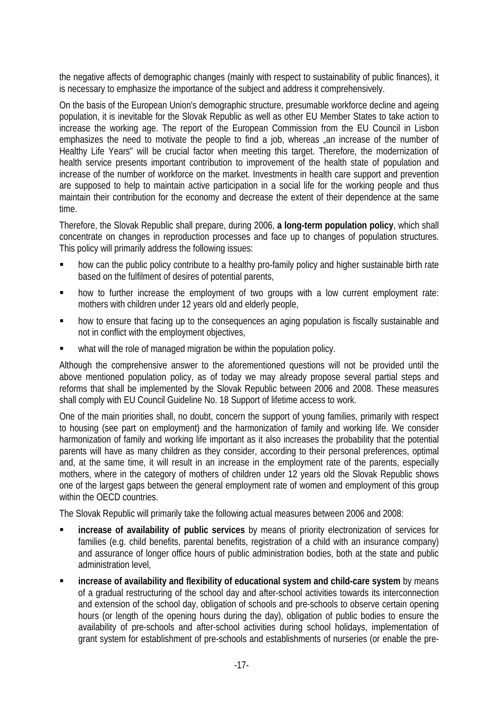the negative affects of demographic changes (mainly with respect to sustainability of public finances), it is necessary to emphasize the importance of the subject and address it comprehensively.

On the basis of the European Union's demographic structure, presumable workforce decline and ageing population, it is inevitable for the Slovak Republic as well as other EU Member States to take action to increase the working age. The report of the European Commission from the EU Council in Lisbon emphasizes the need to motivate the people to find a job, whereas , an increase of the number of Healthy Life Years" will be crucial factor when meeting this target. Therefore, the modernization of health service presents important contribution to improvement of the health state of population and increase of the number of workforce on the market. Investments in health care support and prevention are supposed to help to maintain active participation in a social life for the working people and thus maintain their contribution for the economy and decrease the extent of their dependence at the same time.

Therefore, the Slovak Republic shall prepare, during 2006, **a long-term population policy**, which shall concentrate on changes in reproduction processes and face up to changes of population structures. This policy will primarily address the following issues:

- how can the public policy contribute to a healthy pro-family policy and higher sustainable birth rate based on the fulfilment of desires of potential parents,
- how to further increase the employment of two groups with a low current employment rate: mothers with children under 12 years old and elderly people,
- **how to ensure that facing up to the consequences an aging population is fiscally sustainable and** not in conflict with the employment objectives,
- what will the role of managed migration be within the population policy.

Although the comprehensive answer to the aforementioned questions will not be provided until the above mentioned population policy, as of today we may already propose several partial steps and reforms that shall be implemented by the Slovak Republic between 2006 and 2008. These measures shall comply with EU Council Guideline No. 18 Support of lifetime access to work.

One of the main priorities shall, no doubt, concern the support of young families, primarily with respect to housing (see part on employment) and the harmonization of family and working life. We consider harmonization of family and working life important as it also increases the probability that the potential parents will have as many children as they consider, according to their personal preferences, optimal and, at the same time, it will result in an increase in the employment rate of the parents, especially mothers, where in the category of mothers of children under 12 years old the Slovak Republic shows one of the largest gaps between the general employment rate of women and employment of this group within the OECD countries.

The Slovak Republic will primarily take the following actual measures between 2006 and 2008:

- **increase of availability of public services** by means of priority electronization of services for families (e.g. child benefits, parental benefits, registration of a child with an insurance company) and assurance of longer office hours of public administration bodies, both at the state and public administration level,
- **increase of availability and flexibility of educational system and child-care system** by means of a gradual restructuring of the school day and after-school activities towards its interconnection and extension of the school day, obligation of schools and pre-schools to observe certain opening hours (or length of the opening hours during the day), obligation of public bodies to ensure the availability of pre-schools and after-school activities during school holidays, implementation of grant system for establishment of pre-schools and establishments of nurseries (or enable the pre-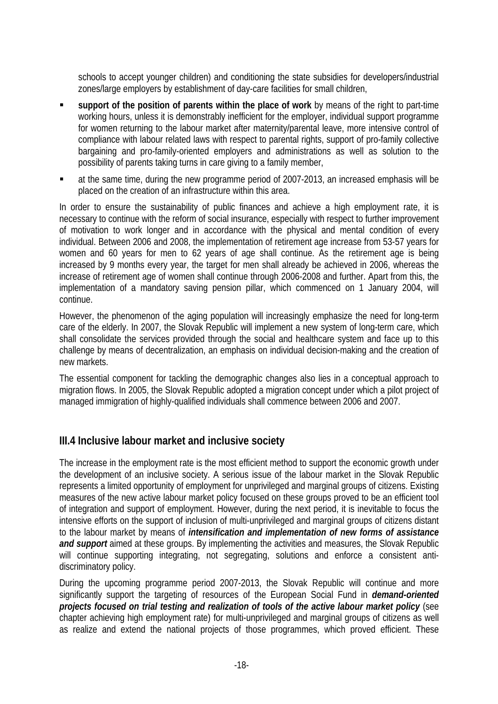<span id="page-19-0"></span>schools to accept younger children) and conditioning the state subsidies for developers/industrial zones/large employers by establishment of day-care facilities for small children,

- **support of the position of parents within the place of work** by means of the right to part-time working hours, unless it is demonstrably inefficient for the employer, individual support programme for women returning to the labour market after maternity/parental leave, more intensive control of compliance with labour related laws with respect to parental rights, support of pro-family collective bargaining and pro-family-oriented employers and administrations as well as solution to the possibility of parents taking turns in care giving to a family member,
- at the same time, during the new programme period of 2007-2013, an increased emphasis will be placed on the creation of an infrastructure within this area.

In order to ensure the sustainability of public finances and achieve a high employment rate, it is necessary to continue with the reform of social insurance, especially with respect to further improvement of motivation to work longer and in accordance with the physical and mental condition of every individual. Between 2006 and 2008, the implementation of retirement age increase from 53-57 years for women and 60 years for men to 62 years of age shall continue. As the retirement age is being increased by 9 months every year, the target for men shall already be achieved in 2006, whereas the increase of retirement age of women shall continue through 2006-2008 and further. Apart from this, the implementation of a mandatory saving pension pillar, which commenced on 1 January 2004, will continue.

However, the phenomenon of the aging population will increasingly emphasize the need for long-term care of the elderly. In 2007, the Slovak Republic will implement a new system of long-term care, which shall consolidate the services provided through the social and healthcare system and face up to this challenge by means of decentralization, an emphasis on individual decision-making and the creation of new markets.

The essential component for tackling the demographic changes also lies in a conceptual approach to migration flows. In 2005, the Slovak Republic adopted a migration concept under which a pilot project of managed immigration of highly-qualified individuals shall commence between 2006 and 2007.

# **III.4 Inclusive labour market and inclusive society**

The increase in the employment rate is the most efficient method to support the economic growth under the development of an inclusive society. A serious issue of the labour market in the Slovak Republic represents a limited opportunity of employment for unprivileged and marginal groups of citizens. Existing measures of the new active labour market policy focused on these groups proved to be an efficient tool of integration and support of employment. However, during the next period, it is inevitable to focus the intensive efforts on the support of inclusion of multi-unprivileged and marginal groups of citizens distant to the labour market by means of *intensification and implementation of new forms of assistance and support* aimed at these groups. By implementing the activities and measures, the Slovak Republic will continue supporting integrating, not segregating, solutions and enforce a consistent antidiscriminatory policy.

During the upcoming programme period 2007-2013, the Slovak Republic will continue and more significantly support the targeting of resources of the European Social Fund in *demand-oriented projects focused on trial testing and realization of tools of the active labour market policy* (see chapter achieving high employment rate) for multi-unprivileged and marginal groups of citizens as well as realize and extend the national projects of those programmes, which proved efficient. These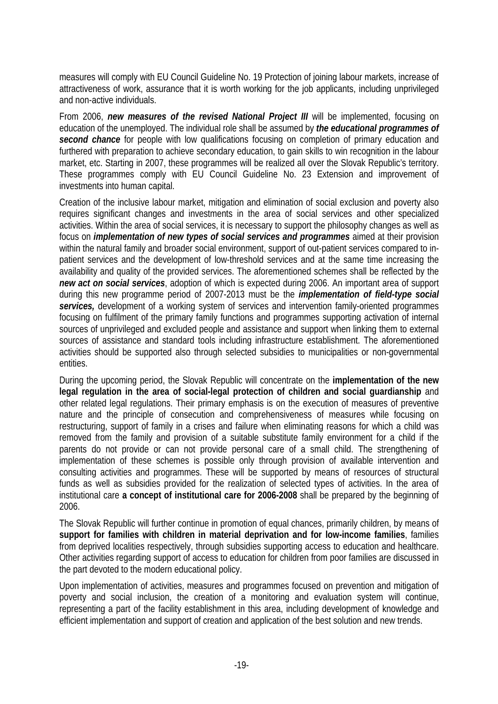measures will comply with EU Council Guideline No. 19 Protection of joining labour markets, increase of attractiveness of work, assurance that it is worth working for the job applicants, including unprivileged and non-active individuals.

From 2006, *new measures of the revised National Project III* will be implemented, focusing on education of the unemployed. The individual role shall be assumed by *the educational programmes of second chance* for people with low qualifications focusing on completion of primary education and furthered with preparation to achieve secondary education, to gain skills to win recognition in the labour market, etc. Starting in 2007, these programmes will be realized all over the Slovak Republic's territory. These programmes comply with EU Council Guideline No. 23 Extension and improvement of investments into human capital.

Creation of the inclusive labour market, mitigation and elimination of social exclusion and poverty also requires significant changes and investments in the area of social services and other specialized activities. Within the area of social services, it is necessary to support the philosophy changes as well as focus on *implementation of new types of social services and programmes* aimed at their provision within the natural family and broader social environment, support of out-patient services compared to inpatient services and the development of low-threshold services and at the same time increasing the availability and quality of the provided services. The aforementioned schemes shall be reflected by the *new act on social services*, adoption of which is expected during 2006. An important area of support during this new programme period of 2007-2013 must be the *implementation of field-type social services,* development of a working system of services and intervention family-oriented programmes focusing on fulfilment of the primary family functions and programmes supporting activation of internal sources of unprivileged and excluded people and assistance and support when linking them to external sources of assistance and standard tools including infrastructure establishment. The aforementioned activities should be supported also through selected subsidies to municipalities or non-governmental entities.

During the upcoming period, the Slovak Republic will concentrate on the **implementation of the new legal regulation in the area of social-legal protection of children and social guardianship** and other related legal regulations. Their primary emphasis is on the execution of measures of preventive nature and the principle of consecution and comprehensiveness of measures while focusing on restructuring, support of family in a crises and failure when eliminating reasons for which a child was removed from the family and provision of a suitable substitute family environment for a child if the parents do not provide or can not provide personal care of a small child. The strengthening of implementation of these schemes is possible only through provision of available intervention and consulting activities and programmes. These will be supported by means of resources of structural funds as well as subsidies provided for the realization of selected types of activities. In the area of institutional care **a concept of institutional care for 2006-2008** shall be prepared by the beginning of 2006.

The Slovak Republic will further continue in promotion of equal chances, primarily children, by means of **support for families with children in material deprivation and for low-income families**, families from deprived localities respectively, through subsidies supporting access to education and healthcare. Other activities regarding support of access to education for children from poor families are discussed in the part devoted to the modern educational policy.

Upon implementation of activities, measures and programmes focused on prevention and mitigation of poverty and social inclusion, the creation of a monitoring and evaluation system will continue, representing a part of the facility establishment in this area, including development of knowledge and efficient implementation and support of creation and application of the best solution and new trends.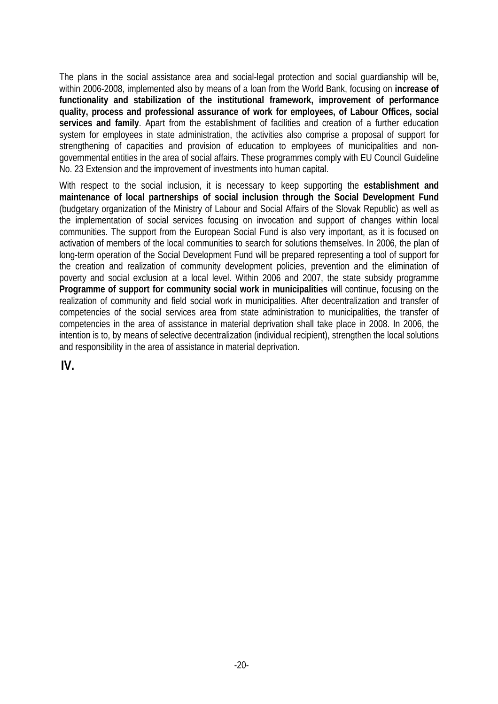The plans in the social assistance area and social-legal protection and social guardianship will be, within 2006-2008, implemented also by means of a loan from the World Bank, focusing on **increase of functionality and stabilization of the institutional framework, improvement of performance quality, process and professional assurance of work for employees, of Labour Offices, social services and family**. Apart from the establishment of facilities and creation of a further education system for employees in state administration, the activities also comprise a proposal of support for strengthening of capacities and provision of education to employees of municipalities and nongovernmental entities in the area of social affairs. These programmes comply with EU Council Guideline No. 23 Extension and the improvement of investments into human capital.

With respect to the social inclusion, it is necessary to keep supporting the **establishment and maintenance of local partnerships of social inclusion through the Social Development Fund** (budgetary organization of the Ministry of Labour and Social Affairs of the Slovak Republic) as well as the implementation of social services focusing on invocation and support of changes within local communities. The support from the European Social Fund is also very important, as it is focused on activation of members of the local communities to search for solutions themselves. In 2006, the plan of long-term operation of the Social Development Fund will be prepared representing a tool of support for the creation and realization of community development policies, prevention and the elimination of poverty and social exclusion at a local level. Within 2006 and 2007, the state subsidy programme **Programme of support for community social work in municipalities** will continue, focusing on the realization of community and field social work in municipalities. After decentralization and transfer of competencies of the social services area from state administration to municipalities, the transfer of competencies in the area of assistance in material deprivation shall take place in 2008. In 2006, the intention is to, by means of selective decentralization (individual recipient), strengthen the local solutions and responsibility in the area of assistance in material deprivation.

**IV.**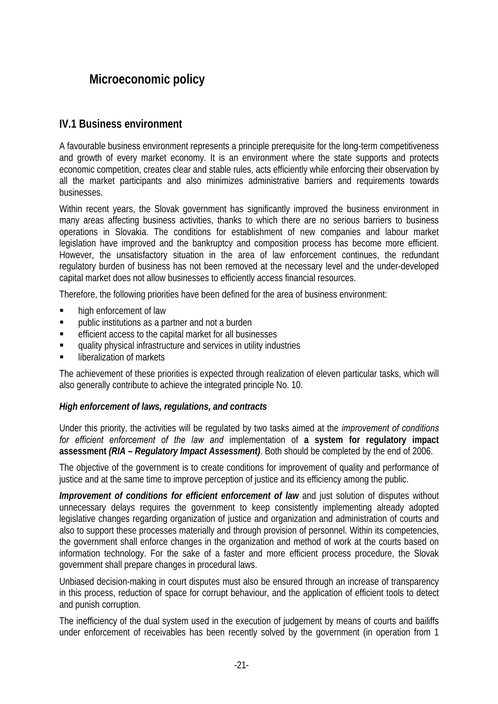# <span id="page-22-0"></span>**Microeconomic policy**

## **IV.1 Business environment**

A favourable business environment represents a principle prerequisite for the long-term competitiveness and growth of every market economy. It is an environment where the state supports and protects economic competition, creates clear and stable rules, acts efficiently while enforcing their observation by all the market participants and also minimizes administrative barriers and requirements towards businesses.

Within recent years, the Slovak government has significantly improved the business environment in many areas affecting business activities, thanks to which there are no serious barriers to business operations in Slovakia. The conditions for establishment of new companies and labour market legislation have improved and the bankruptcy and composition process has become more efficient. However, the unsatisfactory situation in the area of law enforcement continues, the redundant regulatory burden of business has not been removed at the necessary level and the under-developed capital market does not allow businesses to efficiently access financial resources.

Therefore, the following priorities have been defined for the area of business environment:

- high enforcement of law
- **•** public institutions as a partner and not a burden
- **EXECUTE:** efficient access to the capital market for all businesses
- quality physical infrastructure and services in utility industries
- liberalization of markets

The achievement of these priorities is expected through realization of eleven particular tasks, which will also generally contribute to achieve the integrated principle No. 10.

#### *High enforcement of laws, regulations, and contracts*

Under this priority, the activities will be regulated by two tasks aimed at the *improvement of conditions for efficient enforcement of the law and* implementation of **a system for regulatory impact assessment** *(RIA – Regulatory Impact Assessment)*. Both should be completed by the end of 2006.

The objective of the government is to create conditions for improvement of quality and performance of justice and at the same time to improve perception of justice and its efficiency among the public.

*Improvement of conditions for efficient enforcement of law and just solution of disputes without* unnecessary delays requires the government to keep consistently implementing already adopted legislative changes regarding organization of justice and organization and administration of courts and also to support these processes materially and through provision of personnel. Within its competencies, the government shall enforce changes in the organization and method of work at the courts based on information technology. For the sake of a faster and more efficient process procedure, the Slovak government shall prepare changes in procedural laws.

Unbiased decision-making in court disputes must also be ensured through an increase of transparency in this process, reduction of space for corrupt behaviour, and the application of efficient tools to detect and punish corruption.

The inefficiency of the dual system used in the execution of judgement by means of courts and bailiffs under enforcement of receivables has been recently solved by the government (in operation from 1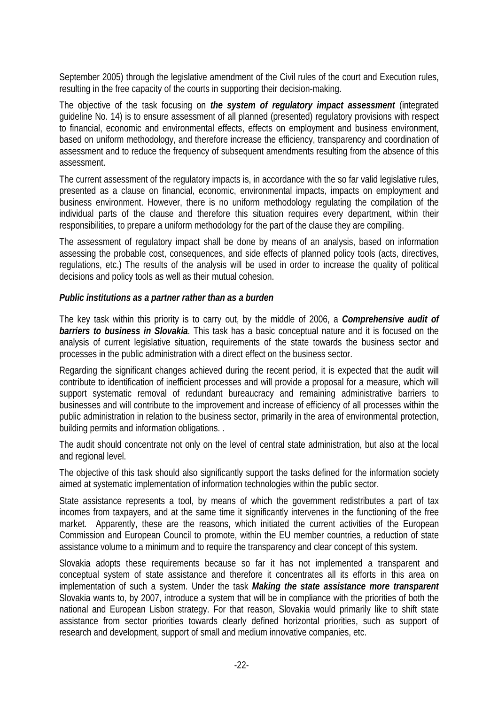<span id="page-23-0"></span>September 2005) through the legislative amendment of the Civil rules of the court and Execution rules, resulting in the free capacity of the courts in supporting their decision-making.

The objective of the task focusing on *the system of regulatory impact assessment* (integrated guideline No. 14) is to ensure assessment of all planned (presented) regulatory provisions with respect to financial, economic and environmental effects, effects on employment and business environment, based on uniform methodology, and therefore increase the efficiency, transparency and coordination of assessment and to reduce the frequency of subsequent amendments resulting from the absence of this assessment.

The current assessment of the regulatory impacts is, in accordance with the so far valid legislative rules, presented as a clause on financial, economic, environmental impacts, impacts on employment and business environment. However, there is no uniform methodology regulating the compilation of the individual parts of the clause and therefore this situation requires every department, within their responsibilities, to prepare a uniform methodology for the part of the clause they are compiling.

The assessment of regulatory impact shall be done by means of an analysis, based on information assessing the probable cost, consequences, and side effects of planned policy tools (acts, directives, regulations, etc.) The results of the analysis will be used in order to increase the quality of political decisions and policy tools as well as their mutual cohesion.

#### *Public institutions as a partner rather than as a burden*

The key task within this priority is to carry out, by the middle of 2006, a *Comprehensive audit of barriers to business in Slovakia.* This task has a basic conceptual nature and it is focused on the analysis of current legislative situation, requirements of the state towards the business sector and processes in the public administration with a direct effect on the business sector.

Regarding the significant changes achieved during the recent period, it is expected that the audit will contribute to identification of inefficient processes and will provide a proposal for a measure, which will support systematic removal of redundant bureaucracy and remaining administrative barriers to businesses and will contribute to the improvement and increase of efficiency of all processes within the public administration in relation to the business sector, primarily in the area of environmental protection, building permits and information obligations. .

The audit should concentrate not only on the level of central state administration, but also at the local and regional level.

The objective of this task should also significantly support the tasks defined for the information society aimed at systematic implementation of information technologies within the public sector.

State assistance represents a tool, by means of which the government redistributes a part of tax incomes from taxpayers, and at the same time it significantly intervenes in the functioning of the free market. Apparently, these are the reasons, which initiated the current activities of the European Commission and European Council to promote, within the EU member countries, a reduction of state assistance volume to a minimum and to require the transparency and clear concept of this system.

Slovakia adopts these requirements because so far it has not implemented a transparent and conceptual system of state assistance and therefore it concentrates all its efforts in this area on implementation of such a system. Under the task *Making the state assistance more transparent* Slovakia wants to, by 2007, introduce a system that will be in compliance with the priorities of both the national and European Lisbon strategy. For that reason, Slovakia would primarily like to shift state assistance from sector priorities towards clearly defined horizontal priorities, such as support of research and development, support of small and medium innovative companies, etc.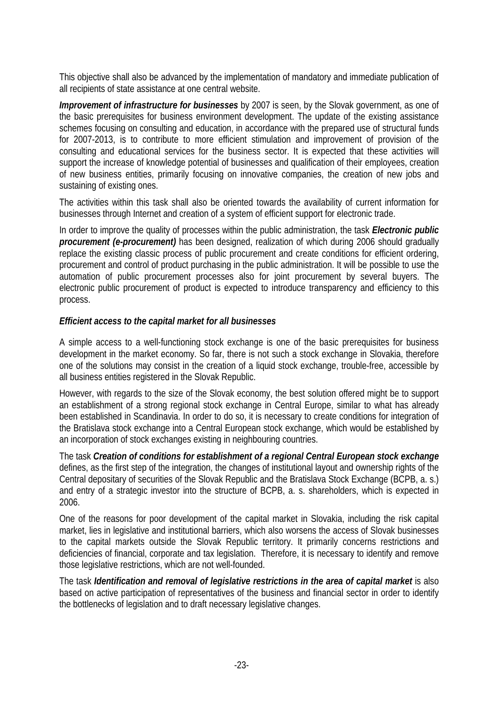<span id="page-24-0"></span>This objective shall also be advanced by the implementation of mandatory and immediate publication of all recipients of state assistance at one central website.

*Improvement of infrastructure for businesses* by 2007 is seen, by the Slovak government, as one of the basic prerequisites for business environment development. The update of the existing assistance schemes focusing on consulting and education, in accordance with the prepared use of structural funds for 2007-2013, is to contribute to more efficient stimulation and improvement of provision of the consulting and educational services for the business sector. It is expected that these activities will support the increase of knowledge potential of businesses and qualification of their employees, creation of new business entities, primarily focusing on innovative companies, the creation of new jobs and sustaining of existing ones.

The activities within this task shall also be oriented towards the availability of current information for businesses through Internet and creation of a system of efficient support for electronic trade.

In order to improve the quality of processes within the public administration, the task *Electronic public procurement (e-procurement)* has been designed, realization of which during 2006 should gradually replace the existing classic process of public procurement and create conditions for efficient ordering, procurement and control of product purchasing in the public administration. It will be possible to use the automation of public procurement processes also for joint procurement by several buyers. The electronic public procurement of product is expected to introduce transparency and efficiency to this process.

#### *Efficient access to the capital market for all businesses*

A simple access to a well-functioning stock exchange is one of the basic prerequisites for business development in the market economy. So far, there is not such a stock exchange in Slovakia, therefore one of the solutions may consist in the creation of a liquid stock exchange, trouble-free, accessible by all business entities registered in the Slovak Republic.

However, with regards to the size of the Slovak economy, the best solution offered might be to support an establishment of a strong regional stock exchange in Central Europe, similar to what has already been established in Scandinavia. In order to do so, it is necessary to create conditions for integration of the Bratislava stock exchange into a Central European stock exchange, which would be established by an incorporation of stock exchanges existing in neighbouring countries.

The task *Creation of conditions for establishment of a regional Central European stock exchange* defines, as the first step of the integration, the changes of institutional layout and ownership rights of the Central depositary of securities of the Slovak Republic and the Bratislava Stock Exchange (BCPB, a. s.) and entry of a strategic investor into the structure of BCPB, a. s. shareholders, which is expected in 2006.

One of the reasons for poor development of the capital market in Slovakia, including the risk capital market, lies in legislative and institutional barriers, which also worsens the access of Slovak businesses to the capital markets outside the Slovak Republic territory. It primarily concerns restrictions and deficiencies of financial, corporate and tax legislation. Therefore, it is necessary to identify and remove those legislative restrictions, which are not well-founded.

The task *Identification and removal of legislative restrictions in the area of capital market* is also based on active participation of representatives of the business and financial sector in order to identify the bottlenecks of legislation and to draft necessary legislative changes.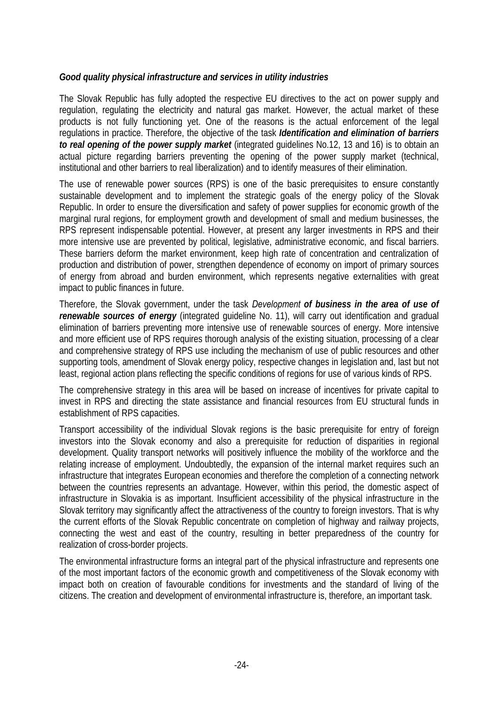#### <span id="page-25-0"></span>*Good quality physical infrastructure and services in utility industries*

The Slovak Republic has fully adopted the respective EU directives to the act on power supply and regulation, regulating the electricity and natural gas market. However, the actual market of these products is not fully functioning yet. One of the reasons is the actual enforcement of the legal regulations in practice. Therefore, the objective of the task *Identification and elimination of barriers to real opening of the power supply market* (integrated guidelines No.12, 13 and 16) is to obtain an actual picture regarding barriers preventing the opening of the power supply market (technical, institutional and other barriers to real liberalization) and to identify measures of their elimination.

The use of renewable power sources (RPS) is one of the basic prerequisites to ensure constantly sustainable development and to implement the strategic goals of the energy policy of the Slovak Republic. In order to ensure the diversification and safety of power supplies for economic growth of the marginal rural regions, for employment growth and development of small and medium businesses, the RPS represent indispensable potential. However, at present any larger investments in RPS and their more intensive use are prevented by political, legislative, administrative economic, and fiscal barriers. These barriers deform the market environment, keep high rate of concentration and centralization of production and distribution of power, strengthen dependence of economy on import of primary sources of energy from abroad and burden environment, which represents negative externalities with great impact to public finances in future.

Therefore, the Slovak government, under the task *Development of business in the area of use of renewable sources of energy* (integrated guideline No. 11), will carry out identification and gradual elimination of barriers preventing more intensive use of renewable sources of energy. More intensive and more efficient use of RPS requires thorough analysis of the existing situation, processing of a clear and comprehensive strategy of RPS use including the mechanism of use of public resources and other supporting tools, amendment of Slovak energy policy, respective changes in legislation and, last but not least, regional action plans reflecting the specific conditions of regions for use of various kinds of RPS.

The comprehensive strategy in this area will be based on increase of incentives for private capital to invest in RPS and directing the state assistance and financial resources from EU structural funds in establishment of RPS capacities.

Transport accessibility of the individual Slovak regions is the basic prerequisite for entry of foreign investors into the Slovak economy and also a prerequisite for reduction of disparities in regional development. Quality transport networks will positively influence the mobility of the workforce and the relating increase of employment. Undoubtedly, the expansion of the internal market requires such an infrastructure that integrates European economies and therefore the completion of a connecting network between the countries represents an advantage. However, within this period, the domestic aspect of infrastructure in Slovakia is as important. Insufficient accessibility of the physical infrastructure in the Slovak territory may significantly affect the attractiveness of the country to foreign investors. That is why the current efforts of the Slovak Republic concentrate on completion of highway and railway projects, connecting the west and east of the country, resulting in better preparedness of the country for realization of cross-border projects.

The environmental infrastructure forms an integral part of the physical infrastructure and represents one of the most important factors of the economic growth and competitiveness of the Slovak economy with impact both on creation of favourable conditions for investments and the standard of living of the citizens. The creation and development of environmental infrastructure is, therefore, an important task.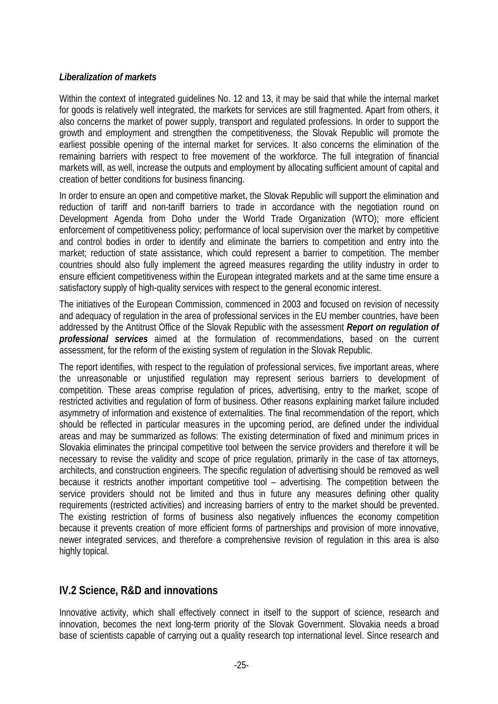#### <span id="page-26-0"></span>*Liberalization of markets*

Within the context of integrated guidelines No. 12 and 13, it may be said that while the internal market for goods is relatively well integrated, the markets for services are still fragmented. Apart from others, it also concerns the market of power supply, transport and regulated professions. In order to support the growth and employment and strengthen the competitiveness, the Slovak Republic will promote the earliest possible opening of the internal market for services. It also concerns the elimination of the remaining barriers with respect to free movement of the workforce. The full integration of financial markets will, as well, increase the outputs and employment by allocating sufficient amount of capital and creation of better conditions for business financing.

In order to ensure an open and competitive market, the Slovak Republic will support the elimination and reduction of tariff and non-tariff barriers to trade in accordance with the negotiation round on Development Agenda from Doho under the World Trade Organization (WTO); more efficient enforcement of competitiveness policy; performance of local supervision over the market by competitive and control bodies in order to identify and eliminate the barriers to competition and entry into the market; reduction of state assistance, which could represent a barrier to competition. The member countries should also fully implement the agreed measures regarding the utility industry in order to ensure efficient competitiveness within the European integrated markets and at the same time ensure a satisfactory supply of high-quality services with respect to the general economic interest.

The initiatives of the European Commission, commenced in 2003 and focused on revision of necessity and adequacy of regulation in the area of professional services in the EU member countries, have been addressed by the Antitrust Office of the Slovak Republic with the assessment *Report on regulation of professional services* aimed at the formulation of recommendations, based on the current assessment, for the reform of the existing system of regulation in the Slovak Republic.

The report identifies, with respect to the regulation of professional services, five important areas, where the unreasonable or unjustified regulation may represent serious barriers to development of competition. These areas comprise regulation of prices, advertising, entry to the market, scope of restricted activities and regulation of form of business. Other reasons explaining market failure included asymmetry of information and existence of externalities. The final recommendation of the report, which should be reflected in particular measures in the upcoming period, are defined under the individual areas and may be summarized as follows: The existing determination of fixed and minimum prices in Slovakia eliminates the principal competitive tool between the service providers and therefore it will be necessary to revise the validity and scope of price regulation, primarily in the case of tax attorneys, architects, and construction engineers. The specific regulation of advertising should be removed as well because it restricts another important competitive tool – advertising. The competition between the service providers should not be limited and thus in future any measures defining other quality requirements (restricted activities) and increasing barriers of entry to the market should be prevented. The existing restriction of forms of business also negatively influences the economy competition because it prevents creation of more efficient forms of partnerships and provision of more innovative, newer integrated services, and therefore a comprehensive revision of regulation in this area is also highly topical.

### **IV.2 Science, R&D and innovations**

Innovative activity, which shall effectively connect in itself to the support of science, research and innovation, becomes the next long-term priority of the Slovak Government. Slovakia needs a broad base of scientists capable of carrying out a quality research top international level. Since research and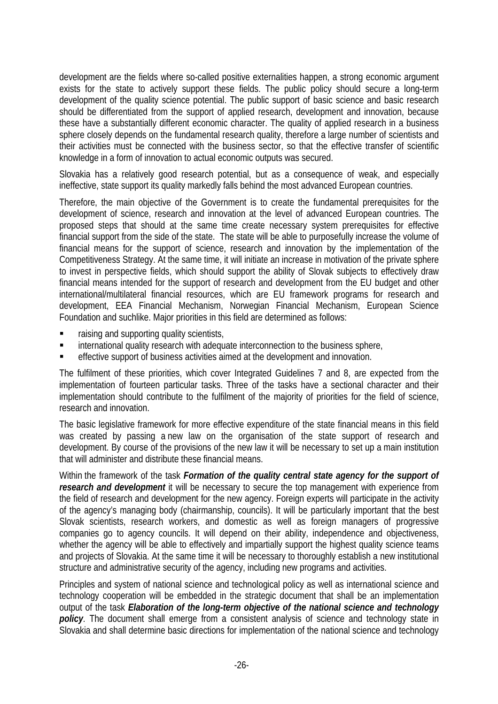development are the fields where so-called positive externalities happen, a strong economic argument exists for the state to actively support these fields. The public policy should secure a long-term development of the quality science potential. The public support of basic science and basic research should be differentiated from the support of applied research, development and innovation, because these have a substantially different economic character. The quality of applied research in a business sphere closely depends on the fundamental research quality, therefore a large number of scientists and their activities must be connected with the business sector, so that the effective transfer of scientific knowledge in a form of innovation to actual economic outputs was secured.

Slovakia has a relatively good research potential, but as a consequence of weak, and especially ineffective, state support its quality markedly falls behind the most advanced European countries.

Therefore, the main objective of the Government is to create the fundamental prerequisites for the development of science, research and innovation at the level of advanced European countries. The proposed steps that should at the same time create necessary system prerequisites for effective financial support from the side of the state. The state will be able to purposefully increase the volume of financial means for the support of science, research and innovation by the implementation of the Competitiveness Strategy. At the same time, it will initiate an increase in motivation of the private sphere to invest in perspective fields, which should support the ability of Slovak subjects to effectively draw financial means intended for the support of research and development from the EU budget and other international/multilateral financial resources, which are EU framework programs for research and development, EEA Financial Mechanism, Norwegian Financial Mechanism, European Science Foundation and suchlike. Major priorities in this field are determined as follows:

- raising and supporting quality scientists,
- international quality research with adequate interconnection to the business sphere,
- effective support of business activities aimed at the development and innovation.

The fulfilment of these priorities, which cover Integrated Guidelines 7 and 8, are expected from the implementation of fourteen particular tasks. Three of the tasks have a sectional character and their implementation should contribute to the fulfilment of the majority of priorities for the field of science, research and innovation.

The basic legislative framework for more effective expenditure of the state financial means in this field was created by passing a new law on the organisation of the state support of research and development. By course of the provisions of the new law it will be necessary to set up a main institution that will administer and distribute these financial means.

Within the framework of the task *Formation of the quality central state agency for the support of research and development* it will be necessary to secure the top management with experience from the field of research and development for the new agency. Foreign experts will participate in the activity of the agency's managing body (chairmanship, councils). It will be particularly important that the best Slovak scientists, research workers, and domestic as well as foreign managers of progressive companies go to agency councils. It will depend on their ability, independence and objectiveness, whether the agency will be able to effectively and impartially support the highest quality science teams and projects of Slovakia. At the same time it will be necessary to thoroughly establish a new institutional structure and administrative security of the agency, including new programs and activities.

Principles and system of national science and technological policy as well as international science and technology cooperation will be embedded in the strategic document that shall be an implementation output of the task *Elaboration of the long-term objective of the national science and technology policy*. The document shall emerge from a consistent analysis of science and technology state in Slovakia and shall determine basic directions for implementation of the national science and technology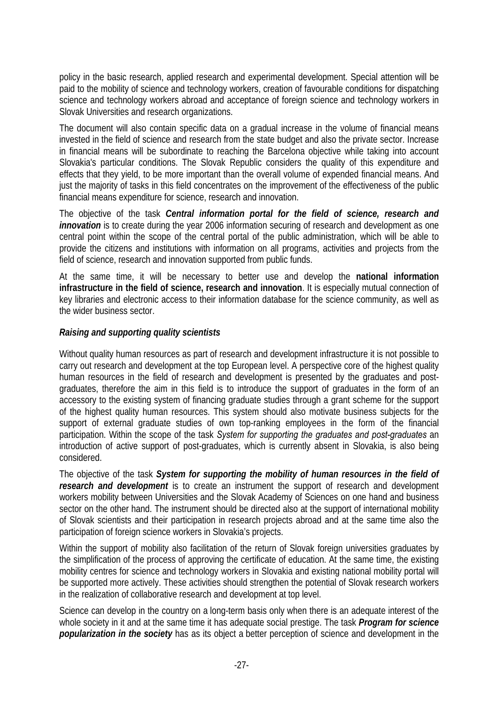<span id="page-28-0"></span>policy in the basic research, applied research and experimental development. Special attention will be paid to the mobility of science and technology workers, creation of favourable conditions for dispatching science and technology workers abroad and acceptance of foreign science and technology workers in Slovak Universities and research organizations.

The document will also contain specific data on a gradual increase in the volume of financial means invested in the field of science and research from the state budget and also the private sector. Increase in financial means will be subordinate to reaching the Barcelona objective while taking into account Slovakia's particular conditions. The Slovak Republic considers the quality of this expenditure and effects that they yield, to be more important than the overall volume of expended financial means. And just the majority of tasks in this field concentrates on the improvement of the effectiveness of the public financial means expenditure for science, research and innovation.

The objective of the task *Central information portal for the field of science, research and innovation* is to create during the year 2006 information securing of research and development as one central point within the scope of the central portal of the public administration, which will be able to provide the citizens and institutions with information on all programs, activities and projects from the field of science, research and innovation supported from public funds.

At the same time, it will be necessary to better use and develop the **national information infrastructure in the field of science, research and innovation**. It is especially mutual connection of key libraries and electronic access to their information database for the science community, as well as the wider business sector.

#### *Raising and supporting quality scientists*

Without quality human resources as part of research and development infrastructure it is not possible to carry out research and development at the top European level. A perspective core of the highest quality human resources in the field of research and development is presented by the graduates and postgraduates, therefore the aim in this field is to introduce the support of graduates in the form of an accessory to the existing system of financing graduate studies through a grant scheme for the support of the highest quality human resources. This system should also motivate business subjects for the support of external graduate studies of own top-ranking employees in the form of the financial participation. Within the scope of the task *System for supporting the graduates and post-graduates* an introduction of active support of post-graduates, which is currently absent in Slovakia, is also being considered.

The objective of the task *System for supporting the mobility of human resources in the field of research and development* is to create an instrument the support of research and development workers mobility between Universities and the Slovak Academy of Sciences on one hand and business sector on the other hand. The instrument should be directed also at the support of international mobility of Slovak scientists and their participation in research projects abroad and at the same time also the participation of foreign science workers in Slovakia's projects.

Within the support of mobility also facilitation of the return of Slovak foreign universities graduates by the simplification of the process of approving the certificate of education. At the same time, the existing mobility centres for science and technology workers in Slovakia and existing national mobility portal will be supported more actively. These activities should strengthen the potential of Slovak research workers in the realization of collaborative research and development at top level.

Science can develop in the country on a long-term basis only when there is an adequate interest of the whole society in it and at the same time it has adequate social prestige. The task *Program for science popularization in the society* has as its object a better perception of science and development in the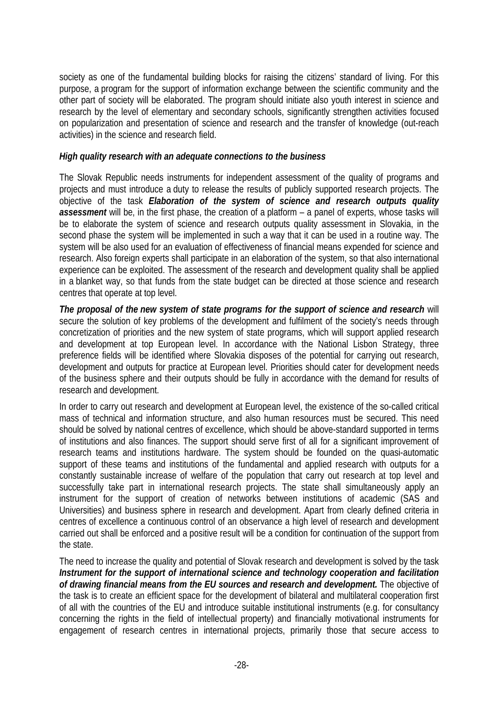<span id="page-29-0"></span>society as one of the fundamental building blocks for raising the citizens' standard of living. For this purpose, a program for the support of information exchange between the scientific community and the other part of society will be elaborated. The program should initiate also youth interest in science and research by the level of elementary and secondary schools, significantly strengthen activities focused on popularization and presentation of science and research and the transfer of knowledge (out-reach activities) in the science and research field.

#### *High quality research with an adequate connections to the business*

The Slovak Republic needs instruments for independent assessment of the quality of programs and projects and must introduce a duty to release the results of publicly supported research projects. The objective of the task *Elaboration of the system of science and research outputs quality assessment* will be, in the first phase, the creation of a platform – a panel of experts, whose tasks will be to elaborate the system of science and research outputs quality assessment in Slovakia, in the second phase the system will be implemented in such a way that it can be used in a routine way. The system will be also used for an evaluation of effectiveness of financial means expended for science and research. Also foreign experts shall participate in an elaboration of the system, so that also international experience can be exploited. The assessment of the research and development quality shall be applied in a blanket way, so that funds from the state budget can be directed at those science and research centres that operate at top level.

*The proposal of the new system of state programs for the support of science and research* will secure the solution of key problems of the development and fulfilment of the society's needs through concretization of priorities and the new system of state programs, which will support applied research and development at top European level. In accordance with the National Lisbon Strategy, three preference fields will be identified where Slovakia disposes of the potential for carrying out research, development and outputs for practice at European level. Priorities should cater for development needs of the business sphere and their outputs should be fully in accordance with the demand for results of research and development.

In order to carry out research and development at European level, the existence of the so-called critical mass of technical and information structure, and also human resources must be secured. This need should be solved by national centres of excellence, which should be above-standard supported in terms of institutions and also finances. The support should serve first of all for a significant improvement of research teams and institutions hardware. The system should be founded on the quasi-automatic support of these teams and institutions of the fundamental and applied research with outputs for a constantly sustainable increase of welfare of the population that carry out research at top level and successfully take part in international research projects. The state shall simultaneously apply an instrument for the support of creation of networks between institutions of academic (SAS and Universities) and business sphere in research and development. Apart from clearly defined criteria in centres of excellence a continuous control of an observance a high level of research and development carried out shall be enforced and a positive result will be a condition for continuation of the support from the state.

The need to increase the quality and potential of Slovak research and development is solved by the task *Instrument for the support of international science and technology cooperation and facilitation of drawing financial means from the EU sources and research and development.* The objective of the task is to create an efficient space for the development of bilateral and multilateral cooperation first of all with the countries of the EU and introduce suitable institutional instruments (e.g. for consultancy concerning the rights in the field of intellectual property) and financially motivational instruments for engagement of research centres in international projects, primarily those that secure access to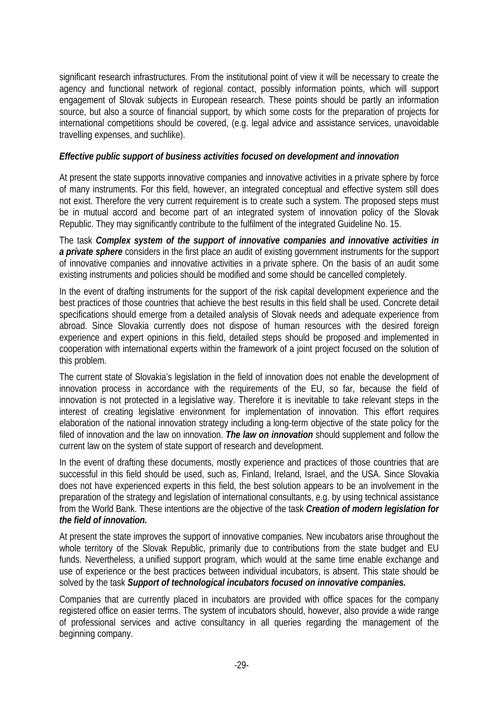<span id="page-30-0"></span>significant research infrastructures. From the institutional point of view it will be necessary to create the agency and functional network of regional contact, possibly information points, which will support engagement of Slovak subjects in European research. These points should be partly an information source, but also a source of financial support, by which some costs for the preparation of projects for international competitions should be covered, (e.g. legal advice and assistance services, unavoidable travelling expenses, and suchlike).

#### *Effective public support of business activities focused on development and innovation*

At present the state supports innovative companies and innovative activities in a private sphere by force of many instruments. For this field, however, an integrated conceptual and effective system still does not exist. Therefore the very current requirement is to create such a system. The proposed steps must be in mutual accord and become part of an integrated system of innovation policy of the Slovak Republic. They may significantly contribute to the fulfilment of the integrated Guideline No. 15.

The task *Complex system of the support of innovative companies and innovative activities in a private sphere* considers in the first place an audit of existing government instruments for the support of innovative companies and innovative activities in a private sphere. On the basis of an audit some existing instruments and policies should be modified and some should be cancelled completely.

In the event of drafting instruments for the support of the risk capital development experience and the best practices of those countries that achieve the best results in this field shall be used. Concrete detail specifications should emerge from a detailed analysis of Slovak needs and adequate experience from abroad. Since Slovakia currently does not dispose of human resources with the desired foreign experience and expert opinions in this field, detailed steps should be proposed and implemented in cooperation with international experts within the framework of a joint project focused on the solution of this problem.

The current state of Slovakia's legislation in the field of innovation does not enable the development of innovation process in accordance with the requirements of the EU, so far, because the field of innovation is not protected in a legislative way. Therefore it is inevitable to take relevant steps in the interest of creating legislative environment for implementation of innovation. This effort requires elaboration of the national innovation strategy including a long-term objective of the state policy for the filed of innovation and the law on innovation. *The law on innovation* should supplement and follow the current law on the system of state support of research and development.

In the event of drafting these documents, mostly experience and practices of those countries that are successful in this field should be used, such as, Finland, Ireland, Israel, and the USA. Since Slovakia does not have experienced experts in this field, the best solution appears to be an involvement in the preparation of the strategy and legislation of international consultants, e.g. by using technical assistance from the World Bank. These intentions are the objective of the task *Creation of modern legislation for the field of innovation.*

At present the state improves the support of innovative companies. New incubators arise throughout the whole territory of the Slovak Republic, primarily due to contributions from the state budget and EU funds. Nevertheless, a unified support program, which would at the same time enable exchange and use of experience or the best practices between individual incubators, is absent. This state should be solved by the task *Support of technological incubators focused on innovative companies.* 

Companies that are currently placed in incubators are provided with office spaces for the company registered office on easier terms. The system of incubators should, however, also provide a wide range of professional services and active consultancy in all queries regarding the management of the beginning company.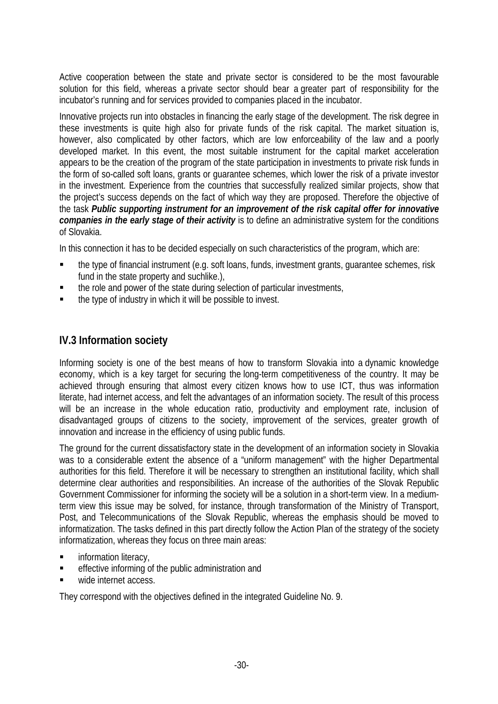<span id="page-31-0"></span>Active cooperation between the state and private sector is considered to be the most favourable solution for this field, whereas a private sector should bear a greater part of responsibility for the incubator's running and for services provided to companies placed in the incubator.

Innovative projects run into obstacles in financing the early stage of the development. The risk degree in these investments is quite high also for private funds of the risk capital. The market situation is, however, also complicated by other factors, which are low enforceability of the law and a poorly developed market. In this event, the most suitable instrument for the capital market acceleration appears to be the creation of the program of the state participation in investments to private risk funds in the form of so-called soft loans, grants or guarantee schemes, which lower the risk of a private investor in the investment. Experience from the countries that successfully realized similar projects, show that the project's success depends on the fact of which way they are proposed. Therefore the objective of the task *Public supporting instrument for an improvement of the risk capital offer for innovative companies in the early stage of their activity* is to define an administrative system for the conditions of Slovakia.

In this connection it has to be decided especially on such characteristics of the program, which are:

- the type of financial instrument (e.g. soft loans, funds, investment grants, guarantee schemes, risk fund in the state property and suchlike.),
- the role and power of the state during selection of particular investments,
- the type of industry in which it will be possible to invest.

# **IV.3 Information society**

Informing society is one of the best means of how to transform Slovakia into a dynamic knowledge economy, which is a key target for securing the long-term competitiveness of the country. It may be achieved through ensuring that almost every citizen knows how to use ICT, thus was information literate, had internet access, and felt the advantages of an information society. The result of this process will be an increase in the whole education ratio, productivity and employment rate, inclusion of disadvantaged groups of citizens to the society, improvement of the services, greater growth of innovation and increase in the efficiency of using public funds.

The ground for the current dissatisfactory state in the development of an information society in Slovakia was to a considerable extent the absence of a "uniform management" with the higher Departmental authorities for this field. Therefore it will be necessary to strengthen an institutional facility, which shall determine clear authorities and responsibilities. An increase of the authorities of the Slovak Republic Government Commissioner for informing the society will be a solution in a short-term view. In a mediumterm view this issue may be solved, for instance, through transformation of the Ministry of Transport, Post, and Telecommunications of the Slovak Republic, whereas the emphasis should be moved to informatization. The tasks defined in this part directly follow the Action Plan of the strategy of the society informatization, whereas they focus on three main areas:

- **information literacy,**
- effective informing of the public administration and
- wide internet access.

They correspond with the objectives defined in the integrated Guideline No. 9.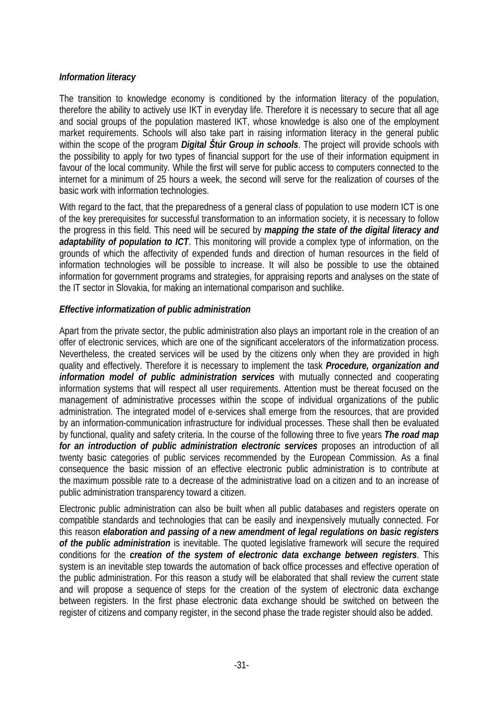#### <span id="page-32-0"></span>*Information literacy*

The transition to knowledge economy is conditioned by the information literacy of the population, therefore the ability to actively use IKT in everyday life. Therefore it is necessary to secure that all age and social groups of the population mastered IKT, whose knowledge is also one of the employment market requirements. Schools will also take part in raising information literacy in the general public within the scope of the program *Digital Štúr Group in schools*. The project will provide schools with the possibility to apply for two types of financial support for the use of their information equipment in favour of the local community. While the first will serve for public access to computers connected to the internet for a minimum of 25 hours a week, the second will serve for the realization of courses of the basic work with information technologies.

With regard to the fact, that the preparedness of a general class of population to use modern ICT is one of the key prerequisites for successful transformation to an information society, it is necessary to follow the progress in this field. This need will be secured by *mapping the state of the digital literacy and adaptability of population to ICT*. This monitoring will provide a complex type of information, on the grounds of which the affectivity of expended funds and direction of human resources in the field of information technologies will be possible to increase. It will also be possible to use the obtained information for government programs and strategies, for appraising reports and analyses on the state of the IT sector in Slovakia, for making an international comparison and suchlike.

#### *Effective informatization of public administration*

Apart from the private sector, the public administration also plays an important role in the creation of an offer of electronic services, which are one of the significant accelerators of the informatization process. Nevertheless, the created services will be used by the citizens only when they are provided in high quality and effectively. Therefore it is necessary to implement the task *Procedure, organization and information model of public administration services* with mutually connected and cooperating information systems that will respect all user requirements. Attention must be thereat focused on the management of administrative processes within the scope of individual organizations of the public administration. The integrated model of e-services shall emerge from the resources, that are provided by an information-communication infrastructure for individual processes. These shall then be evaluated by functional, quality and safety criteria. In the course of the following three to five years *The road map*  for an introduction of public administration electronic services proposes an introduction of all twenty basic categories of public services recommended by the European Commission. As a final consequence the basic mission of an effective electronic public administration is to contribute at the maximum possible rate to a decrease of the administrative load on a citizen and to an increase of public administration transparency toward a citizen.

Electronic public administration can also be built when all public databases and registers operate on compatible standards and technologies that can be easily and inexpensively mutually connected. For this reason *elaboration and passing of a new amendment of legal regulations on basic registers of the public administration* is inevitable. The quoted legislative framework will secure the required conditions for the *creation of the system of electronic data exchange between registers*. This system is an inevitable step towards the automation of back office processes and effective operation of the public administration. For this reason a study will be elaborated that shall review the current state and will propose a sequence of steps for the creation of the system of electronic data exchange between registers. In the first phase electronic data exchange should be switched on between the register of citizens and company register, in the second phase the trade register should also be added.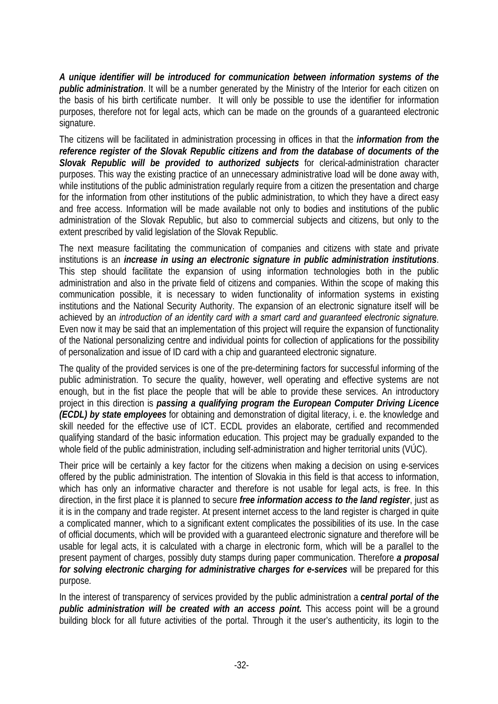*A unique identifier will be introduced for communication between information systems of the public administration*. It will be a number generated by the Ministry of the Interior for each citizen on the basis of his birth certificate number. It will only be possible to use the identifier for information purposes, therefore not for legal acts, which can be made on the grounds of a guaranteed electronic signature.

The citizens will be facilitated in administration processing in offices in that the *information from the reference register of the Slovak Republic citizens and from the database of documents of the Slovak Republic will be provided to authorized subjects* for clerical-administration character purposes. This way the existing practice of an unnecessary administrative load will be done away with, while institutions of the public administration regularly require from a citizen the presentation and charge for the information from other institutions of the public administration, to which they have a direct easy and free access. Information will be made available not only to bodies and institutions of the public administration of the Slovak Republic, but also to commercial subjects and citizens, but only to the extent prescribed by valid legislation of the Slovak Republic.

The next measure facilitating the communication of companies and citizens with state and private institutions is an *increase in using an electronic signature in public administration institutions*. This step should facilitate the expansion of using information technologies both in the public administration and also in the private field of citizens and companies. Within the scope of making this communication possible, it is necessary to widen functionality of information systems in existing institutions and the National Security Authority. The expansion of an electronic signature itself will be achieved by an *introduction of an identity card with a smart card and guaranteed electronic signature.* Even now it may be said that an implementation of this project will require the expansion of functionality of the National personalizing centre and individual points for collection of applications for the possibility of personalization and issue of ID card with a chip and guaranteed electronic signature.

The quality of the provided services is one of the pre-determining factors for successful informing of the public administration. To secure the quality, however, well operating and effective systems are not enough, but in the fist place the people that will be able to provide these services. An introductory project in this direction is *passing a qualifying program the European Computer Driving Licence (ECDL) by state employees* for obtaining and demonstration of digital literacy, i. e. the knowledge and skill needed for the effective use of ICT. ECDL provides an elaborate, certified and recommended qualifying standard of the basic information education. This project may be gradually expanded to the whole field of the public administration, including self-administration and higher territorial units (VÚC).

Their price will be certainly a key factor for the citizens when making a decision on using e-services offered by the public administration. The intention of Slovakia in this field is that access to information, which has only an informative character and therefore is not usable for legal acts, is free. In this direction, in the first place it is planned to secure *free information access to the land register*, just as it is in the company and trade register. At present internet access to the land register is charged in quite a complicated manner, which to a significant extent complicates the possibilities of its use. In the case of official documents, which will be provided with a guaranteed electronic signature and therefore will be usable for legal acts, it is calculated with a charge in electronic form, which will be a parallel to the present payment of charges, possibly duty stamps during paper communication. Therefore *a proposal for solving electronic charging for administrative charges for e-services* will be prepared for this purpose*.*

In the interest of transparency of services provided by the public administration a *central portal of the public administration will be created with an access point.* This access point will be a ground building block for all future activities of the portal. Through it the user's authenticity, its login to the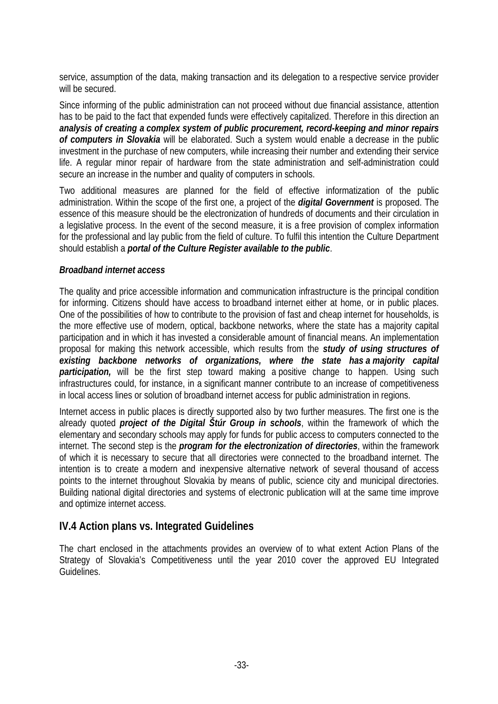<span id="page-34-0"></span>service, assumption of the data, making transaction and its delegation to a respective service provider will be secured.

Since informing of the public administration can not proceed without due financial assistance, attention has to be paid to the fact that expended funds were effectively capitalized. Therefore in this direction an *analysis of creating a complex system of public procurement, record-keeping and minor repairs of computers in Slovakia* will be elaborated. Such a system would enable a decrease in the public investment in the purchase of new computers, while increasing their number and extending their service life. A regular minor repair of hardware from the state administration and self-administration could secure an increase in the number and quality of computers in schools.

Two additional measures are planned for the field of effective informatization of the public administration. Within the scope of the first one, a project of the *digital Government* is proposed. The essence of this measure should be the electronization of hundreds of documents and their circulation in a legislative process. In the event of the second measure, it is a free provision of complex information for the professional and lay public from the field of culture. To fulfil this intention the Culture Department should establish a *portal of the Culture Register available to the public*.

#### *Broadband internet access*

The quality and price accessible information and communication infrastructure is the principal condition for informing. Citizens should have access to broadband internet either at home, or in public places. One of the possibilities of how to contribute to the provision of fast and cheap internet for households, is the more effective use of modern, optical, backbone networks, where the state has a majority capital participation and in which it has invested a considerable amount of financial means. An implementation proposal for making this network accessible, which results from the *study of using structures of existing backbone networks of organizations, where the state has a majority capital*  **participation**, will be the first step toward making a positive change to happen. Using such infrastructures could, for instance, in a significant manner contribute to an increase of competitiveness in local access lines or solution of broadband internet access for public administration in regions.

Internet access in public places is directly supported also by two further measures. The first one is the already quoted *project of the Digital Štúr Group in schools*, within the framework of which the elementary and secondary schools may apply for funds for public access to computers connected to the internet. The second step is the *program for the electronization of directories*, within the framework of which it is necessary to secure that all directories were connected to the broadband internet. The intention is to create a modern and inexpensive alternative network of several thousand of access points to the internet throughout Slovakia by means of public, science city and municipal directories. Building national digital directories and systems of electronic publication will at the same time improve and optimize internet access.

### **IV.4 Action plans vs. Integrated Guidelines**

The chart enclosed in the attachments provides an overview of to what extent Action Plans of the Strategy of Slovakia's Competitiveness until the year 2010 cover the approved EU Integrated Guidelines.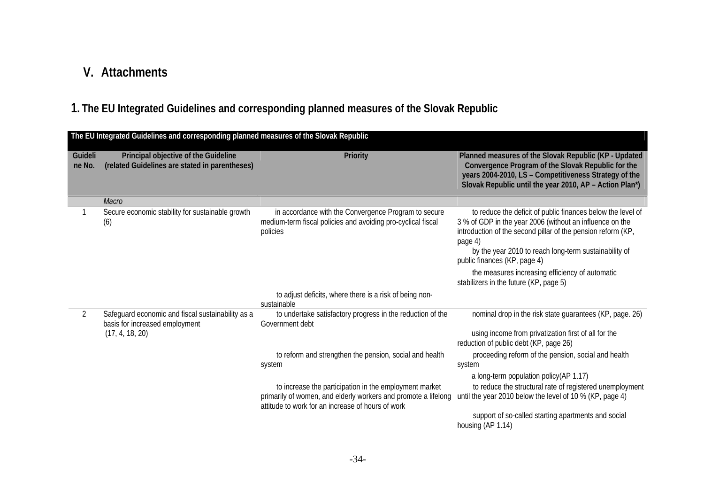# **V. Attachments**

# **1. The EU Integrated Guidelines and corresponding planned measures of the Slovak Republic**

<span id="page-35-0"></span>

|                   | The EU Integrated Guidelines and corresponding planned measures of the Slovak Republic |                                                                                                                                                                               |                                                                                                                                                                                                                                                                                                                                                                                          |  |  |
|-------------------|----------------------------------------------------------------------------------------|-------------------------------------------------------------------------------------------------------------------------------------------------------------------------------|------------------------------------------------------------------------------------------------------------------------------------------------------------------------------------------------------------------------------------------------------------------------------------------------------------------------------------------------------------------------------------------|--|--|
| Guideli<br>ne No. | Principal objective of the Guideline<br>(related Guidelines are stated in parentheses) | <b>Priority</b>                                                                                                                                                               | Planned measures of the Slovak Republic (KP - Updated<br>Convergence Program of the Slovak Republic for the<br>years 2004-2010, LS - Competitiveness Strategy of the<br>Slovak Republic until the year 2010, AP - Action Plan*)                                                                                                                                                          |  |  |
|                   | Macro                                                                                  |                                                                                                                                                                               |                                                                                                                                                                                                                                                                                                                                                                                          |  |  |
|                   | Secure economic stability for sustainable growth<br>(6)                                | in accordance with the Convergence Program to secure<br>medium-term fiscal policies and avoiding pro-cyclical fiscal<br>policies                                              | to reduce the deficit of public finances below the level of<br>3 % of GDP in the year 2006 (without an influence on the<br>introduction of the second pillar of the pension reform (KP,<br>page 4)<br>by the year 2010 to reach long-term sustainability of<br>public finances (KP, page 4)<br>the measures increasing efficiency of automatic<br>stabilizers in the future (KP, page 5) |  |  |
|                   |                                                                                        | to adjust deficits, where there is a risk of being non-<br>sustainable                                                                                                        |                                                                                                                                                                                                                                                                                                                                                                                          |  |  |
| 2                 | Safeguard economic and fiscal sustainability as a<br>basis for increased employment    | to undertake satisfactory progress in the reduction of the<br>Government debt                                                                                                 | nominal drop in the risk state guarantees (KP, page. 26)                                                                                                                                                                                                                                                                                                                                 |  |  |
|                   | (17, 4, 18, 20)                                                                        |                                                                                                                                                                               | using income from privatization first of all for the<br>reduction of public debt (KP, page 26)                                                                                                                                                                                                                                                                                           |  |  |
|                   |                                                                                        | to reform and strengthen the pension, social and health<br>system                                                                                                             | proceeding reform of the pension, social and health<br>system                                                                                                                                                                                                                                                                                                                            |  |  |
|                   |                                                                                        | to increase the participation in the employment market<br>primarily of women, and elderly workers and promote a lifelong<br>attitude to work for an increase of hours of work | a long-term population policy (AP 1.17)<br>to reduce the structural rate of registered unemployment<br>until the year 2010 below the level of 10 % (KP, page 4)<br>support of so-called starting apartments and social<br>housing (AP 1.14)                                                                                                                                              |  |  |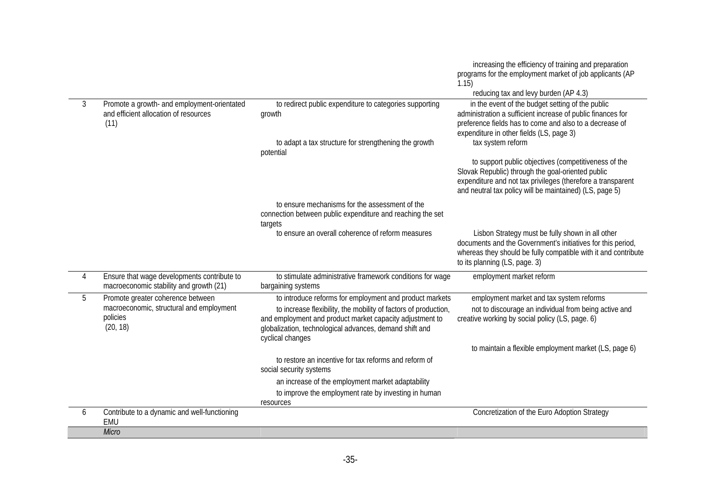|   |                                                                                                       |                                                                                                                                                                                                                                                                       | increasing the efficiency of training and preparation<br>programs for the employment market of job applicants (AP                                                                                                                   |
|---|-------------------------------------------------------------------------------------------------------|-----------------------------------------------------------------------------------------------------------------------------------------------------------------------------------------------------------------------------------------------------------------------|-------------------------------------------------------------------------------------------------------------------------------------------------------------------------------------------------------------------------------------|
|   |                                                                                                       |                                                                                                                                                                                                                                                                       | 1.15)                                                                                                                                                                                                                               |
|   |                                                                                                       |                                                                                                                                                                                                                                                                       | reducing tax and levy burden (AP 4.3)                                                                                                                                                                                               |
| 3 | Promote a growth- and employment-orientated<br>and efficient allocation of resources<br>(11)          | to redirect public expenditure to categories supporting<br>growth                                                                                                                                                                                                     | in the event of the budget setting of the public<br>administration a sufficient increase of public finances for<br>preference fields has to come and also to a decrease of<br>expenditure in other fields (LS, page 3)              |
|   |                                                                                                       | to adapt a tax structure for strengthening the growth<br>potential                                                                                                                                                                                                    | tax system reform                                                                                                                                                                                                                   |
|   |                                                                                                       |                                                                                                                                                                                                                                                                       | to support public objectives (competitiveness of the<br>Slovak Republic) through the goal-oriented public<br>expenditure and not tax privileges (therefore a transparent<br>and neutral tax policy will be maintained) (LS, page 5) |
|   |                                                                                                       | to ensure mechanisms for the assessment of the<br>connection between public expenditure and reaching the set<br>targets                                                                                                                                               |                                                                                                                                                                                                                                     |
|   |                                                                                                       | to ensure an overall coherence of reform measures                                                                                                                                                                                                                     | Lisbon Strategy must be fully shown in all other<br>documents and the Government's initiatives for this period,<br>whereas they should be fully compatible with it and contribute<br>to its planning (LS, page. 3)                  |
| 4 | Ensure that wage developments contribute to<br>macroeconomic stability and growth (21)                | to stimulate administrative framework conditions for wage<br>bargaining systems                                                                                                                                                                                       | employment market reform                                                                                                                                                                                                            |
| 5 | Promote greater coherence between<br>macroeconomic, structural and employment<br>policies<br>(20, 18) | to introduce reforms for employment and product markets<br>to increase flexibility, the mobility of factors of production,<br>and employment and product market capacity adjustment to<br>globalization, technological advances, demand shift and<br>cyclical changes | employment market and tax system reforms<br>not to discourage an individual from being active and<br>creative working by social policy (LS, page. 6)                                                                                |
|   |                                                                                                       |                                                                                                                                                                                                                                                                       | to maintain a flexible employment market (LS, page 6)                                                                                                                                                                               |
|   |                                                                                                       | to restore an incentive for tax reforms and reform of<br>social security systems                                                                                                                                                                                      |                                                                                                                                                                                                                                     |
|   |                                                                                                       | an increase of the employment market adaptability<br>to improve the employment rate by investing in human<br>resources                                                                                                                                                |                                                                                                                                                                                                                                     |
| 6 | Contribute to a dynamic and well-functioning<br>EMU                                                   |                                                                                                                                                                                                                                                                       | Concretization of the Euro Adoption Strategy                                                                                                                                                                                        |
|   | Micro                                                                                                 |                                                                                                                                                                                                                                                                       |                                                                                                                                                                                                                                     |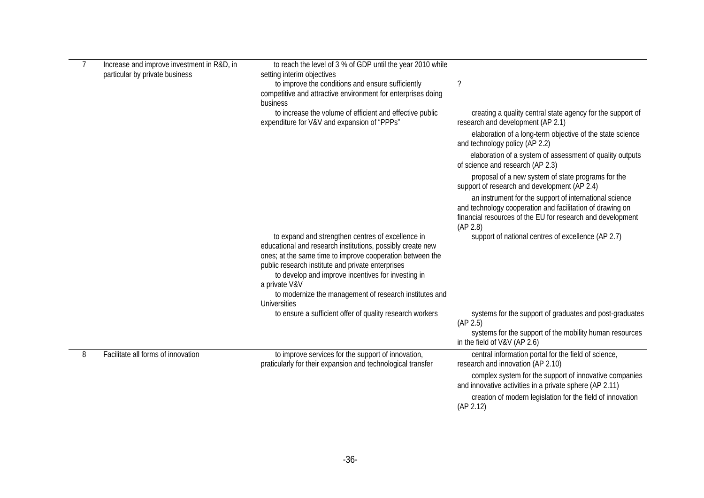| 7 | Increase and improve investment in R&D, in<br>particular by private business | to reach the level of 3 % of GDP until the year 2010 while<br>setting interim objectives<br>to improve the conditions and ensure sufficiently<br>competitive and attractive environment for enterprises doing<br>business<br>to increase the volume of efficient and effective public<br>expenditure for V&V and expansion of "PPPs"                                                                                                                  | $\overline{\phantom{a}}$<br>creating a quality central state agency for the support of<br>research and development (AP 2.1)<br>elaboration of a long-term objective of the state science<br>and technology policy (AP 2.2)<br>elaboration of a system of assessment of quality outputs<br>of science and research (AP 2.3)<br>proposal of a new system of state programs for the<br>support of research and development (AP 2.4)<br>an instrument for the support of international science<br>and technology cooperation and facilitation of drawing on<br>financial resources of the EU for research and development |
|---|------------------------------------------------------------------------------|-------------------------------------------------------------------------------------------------------------------------------------------------------------------------------------------------------------------------------------------------------------------------------------------------------------------------------------------------------------------------------------------------------------------------------------------------------|-----------------------------------------------------------------------------------------------------------------------------------------------------------------------------------------------------------------------------------------------------------------------------------------------------------------------------------------------------------------------------------------------------------------------------------------------------------------------------------------------------------------------------------------------------------------------------------------------------------------------|
|   |                                                                              | to expand and strengthen centres of excellence in<br>educational and research institutions, possibly create new<br>ones; at the same time to improve cooperation between the<br>public research institute and private enterprises<br>to develop and improve incentives for investing in<br>a private V&V<br>to modernize the management of research institutes and<br><b>Universities</b><br>to ensure a sufficient offer of quality research workers | (AP 2.8)<br>support of national centres of excellence (AP 2.7)<br>systems for the support of graduates and post-graduates<br>(AP 2.5)<br>systems for the support of the mobility human resources<br>in the field of V&V (AP 2.6)                                                                                                                                                                                                                                                                                                                                                                                      |
| 8 | Facilitate all forms of innovation                                           | to improve services for the support of innovation,<br>praticularly for their expansion and technological transfer                                                                                                                                                                                                                                                                                                                                     | central information portal for the field of science,<br>research and innovation (AP 2.10)<br>complex system for the support of innovative companies<br>and innovative activities in a private sphere (AP 2.11)<br>creation of modern legislation for the field of innovation<br>(AP 2.12)                                                                                                                                                                                                                                                                                                                             |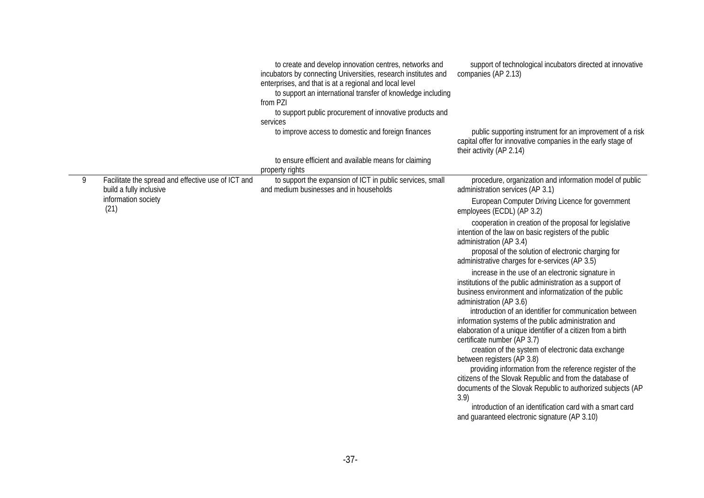|   |                                                                               | to create and develop innovation centres, networks and<br>incubators by connecting Universities, research institutes and<br>enterprises, and that is at a regional and local level<br>to support an international transfer of knowledge including<br>from PZI<br>to support public procurement of innovative products and<br>services<br>to improve access to domestic and foreign finances | support of technological incubators directed at innovative<br>companies (AP 2.13)<br>public supporting instrument for an improvement of a risk<br>capital offer for innovative companies in the early stage of<br>their activity (AP 2.14)                                                                             |
|---|-------------------------------------------------------------------------------|---------------------------------------------------------------------------------------------------------------------------------------------------------------------------------------------------------------------------------------------------------------------------------------------------------------------------------------------------------------------------------------------|------------------------------------------------------------------------------------------------------------------------------------------------------------------------------------------------------------------------------------------------------------------------------------------------------------------------|
|   |                                                                               | to ensure efficient and available means for claiming<br>property rights                                                                                                                                                                                                                                                                                                                     |                                                                                                                                                                                                                                                                                                                        |
| 9 | Facilitate the spread and effective use of ICT and<br>build a fully inclusive | to support the expansion of ICT in public services, small<br>and medium businesses and in households                                                                                                                                                                                                                                                                                        | procedure, organization and information model of public<br>administration services (AP 3.1)                                                                                                                                                                                                                            |
|   | information society<br>(21)                                                   |                                                                                                                                                                                                                                                                                                                                                                                             | European Computer Driving Licence for government<br>employees (ECDL) (AP 3.2)                                                                                                                                                                                                                                          |
|   |                                                                               |                                                                                                                                                                                                                                                                                                                                                                                             | cooperation in creation of the proposal for legislative<br>intention of the law on basic registers of the public<br>administration (AP 3.4)<br>proposal of the solution of electronic charging for<br>administrative charges for e-services (AP 3.5)                                                                   |
|   |                                                                               |                                                                                                                                                                                                                                                                                                                                                                                             | increase in the use of an electronic signature in<br>institutions of the public administration as a support of<br>business environment and informatization of the public<br>administration (AP 3.6)<br>introduction of an identifier for communication between<br>information systems of the public administration and |
|   |                                                                               |                                                                                                                                                                                                                                                                                                                                                                                             | elaboration of a unique identifier of a citizen from a birth<br>certificate number (AP 3.7)<br>creation of the system of electronic data exchange<br>between registers (AP 3.8)                                                                                                                                        |
|   |                                                                               |                                                                                                                                                                                                                                                                                                                                                                                             | providing information from the reference register of the<br>citizens of the Slovak Republic and from the database of<br>documents of the Slovak Republic to authorized subjects (AP<br>3.9)<br>introduction of an identification card with a smart card<br>and guaranteed electronic signature (AP 3.10)               |
|   |                                                                               |                                                                                                                                                                                                                                                                                                                                                                                             |                                                                                                                                                                                                                                                                                                                        |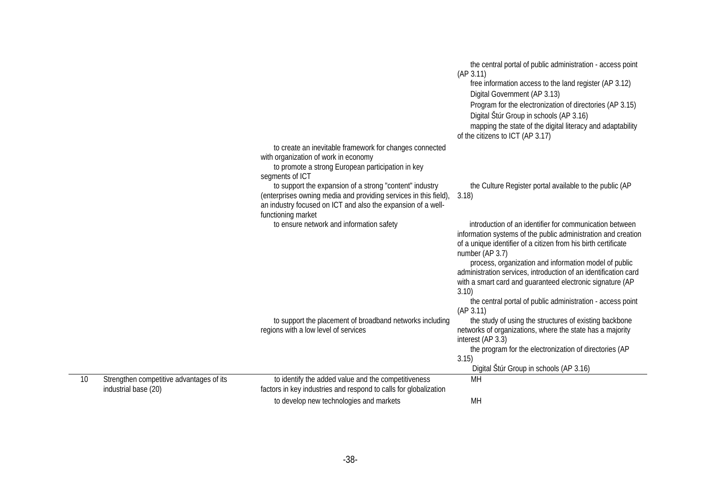|    |                                                                  | to create an inevitable framework for changes connected<br>with organization of work in economy                                                                                                                                                                                           | the central portal of public administration - access point<br>(AP 3.11)<br>free information access to the land register (AP 3.12)<br>Digital Government (AP 3.13)<br>Program for the electronization of directories (AP 3.15)<br>Digital Štúr Group in schools (AP 3.16)<br>mapping the state of the digital literacy and adaptability<br>of the citizens to ICT (AP 3.17) |
|----|------------------------------------------------------------------|-------------------------------------------------------------------------------------------------------------------------------------------------------------------------------------------------------------------------------------------------------------------------------------------|----------------------------------------------------------------------------------------------------------------------------------------------------------------------------------------------------------------------------------------------------------------------------------------------------------------------------------------------------------------------------|
|    |                                                                  | to promote a strong European participation in key<br>segments of ICT<br>to support the expansion of a strong "content" industry<br>(enterprises owning media and providing services in this field),<br>an industry focused on ICT and also the expansion of a well-<br>functioning market | the Culture Register portal available to the public (AP<br>3.18)                                                                                                                                                                                                                                                                                                           |
|    |                                                                  | to ensure network and information safety                                                                                                                                                                                                                                                  | introduction of an identifier for communication between<br>information systems of the public administration and creation<br>of a unique identifier of a citizen from his birth certificate<br>number (AP 3.7)<br>process, organization and information model of public                                                                                                     |
|    |                                                                  |                                                                                                                                                                                                                                                                                           | administration services, introduction of an identification card<br>with a smart card and guaranteed electronic signature (AP<br>3.10<br>the central portal of public administration - access point<br>(AP 3.11)                                                                                                                                                            |
|    |                                                                  | to support the placement of broadband networks including<br>regions with a low level of services                                                                                                                                                                                          | the study of using the structures of existing backbone<br>networks of organizations, where the state has a majority<br>interest (AP 3.3)<br>the program for the electronization of directories (AP                                                                                                                                                                         |
|    |                                                                  |                                                                                                                                                                                                                                                                                           | 3.15)<br>Digital Štúr Group in schools (AP 3.16)                                                                                                                                                                                                                                                                                                                           |
| 10 | Strengthen competitive advantages of its<br>industrial base (20) | to identify the added value and the competitiveness<br>factors in key industries and respond to calls for globalization                                                                                                                                                                   | МH                                                                                                                                                                                                                                                                                                                                                                         |
|    |                                                                  | to develop new technologies and markets                                                                                                                                                                                                                                                   | МH                                                                                                                                                                                                                                                                                                                                                                         |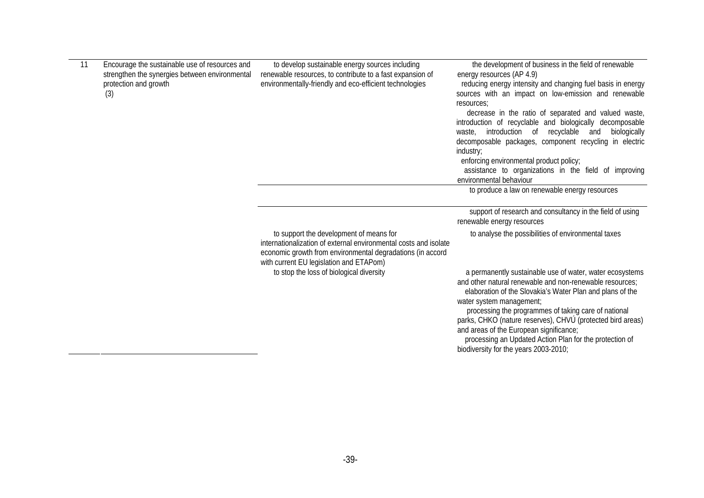| 11 | Encourage the sustainable use of resources and<br>strengthen the synergies between environmental<br>protection and growth<br>(3) | to develop sustainable energy sources including<br>renewable resources, to contribute to a fast expansion of<br>environmentally-friendly and eco-efficient technologies                                              | the development of business in the field of renewable<br>energy resources (AP 4.9)<br>reducing energy intensity and changing fuel basis in energy<br>sources with an impact on low-emission and renewable<br>resources;<br>decrease in the ratio of separated and valued waste,<br>introduction of recyclable and biologically decomposable<br>waste, introduction of recyclable<br>biologically<br>and<br>decomposable packages, component recycling in electric<br>industry;<br>enforcing environmental product policy;<br>assistance to organizations in the field of improving<br>environmental behaviour |
|----|----------------------------------------------------------------------------------------------------------------------------------|----------------------------------------------------------------------------------------------------------------------------------------------------------------------------------------------------------------------|---------------------------------------------------------------------------------------------------------------------------------------------------------------------------------------------------------------------------------------------------------------------------------------------------------------------------------------------------------------------------------------------------------------------------------------------------------------------------------------------------------------------------------------------------------------------------------------------------------------|
|    |                                                                                                                                  |                                                                                                                                                                                                                      | to produce a law on renewable energy resources                                                                                                                                                                                                                                                                                                                                                                                                                                                                                                                                                                |
|    |                                                                                                                                  |                                                                                                                                                                                                                      | support of research and consultancy in the field of using<br>renewable energy resources                                                                                                                                                                                                                                                                                                                                                                                                                                                                                                                       |
|    |                                                                                                                                  | to support the development of means for<br>internationalization of external environmental costs and isolate<br>economic growth from environmental degradations (in accord<br>with current EU legislation and ETAPom) | to analyse the possibilities of environmental taxes                                                                                                                                                                                                                                                                                                                                                                                                                                                                                                                                                           |
|    |                                                                                                                                  | to stop the loss of biological diversity                                                                                                                                                                             | a permanently sustainable use of water, water ecosystems<br>and other natural renewable and non-renewable resources;<br>elaboration of the Slovakia's Water Plan and plans of the<br>water system management;<br>processing the programmes of taking care of national<br>parks, CHKO (nature reserves), CHVÚ (protected bird areas)<br>and areas of the European significance;                                                                                                                                                                                                                                |
|    |                                                                                                                                  |                                                                                                                                                                                                                      | processing an Updated Action Plan for the protection of<br>biodiversity for the years 2003-2010;                                                                                                                                                                                                                                                                                                                                                                                                                                                                                                              |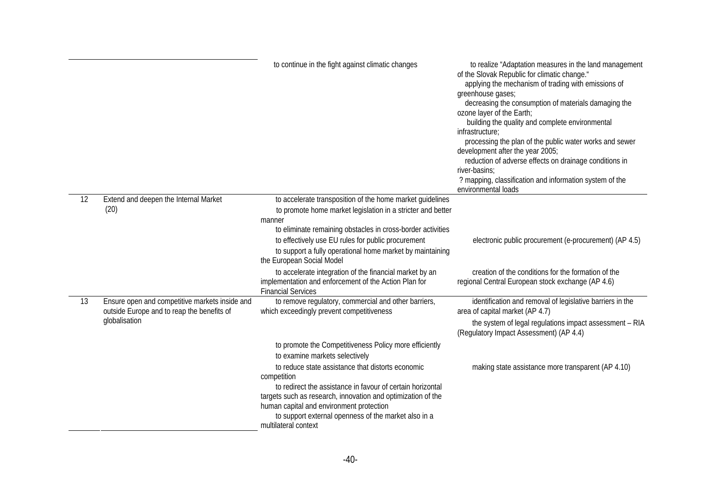|    |                                                                                                               | to continue in the fight against climatic changes                                                                                                                                                                                                                                                                                                                                                                      | to realize "Adaptation measures in the land management<br>of the Slovak Republic for climatic change."<br>applying the mechanism of trading with emissions of<br>greenhouse gases;<br>decreasing the consumption of materials damaging the<br>ozone layer of the Earth;<br>building the quality and complete environmental<br>infrastructure;<br>processing the plan of the public water works and sewer<br>development after the year 2005;<br>reduction of adverse effects on drainage conditions in<br>river-basins:<br>? mapping, classification and information system of the<br>environmental loads |
|----|---------------------------------------------------------------------------------------------------------------|------------------------------------------------------------------------------------------------------------------------------------------------------------------------------------------------------------------------------------------------------------------------------------------------------------------------------------------------------------------------------------------------------------------------|-----------------------------------------------------------------------------------------------------------------------------------------------------------------------------------------------------------------------------------------------------------------------------------------------------------------------------------------------------------------------------------------------------------------------------------------------------------------------------------------------------------------------------------------------------------------------------------------------------------|
| 12 | Extend and deepen the Internal Market<br>(20)                                                                 | to accelerate transposition of the home market guidelines<br>to promote home market legislation in a stricter and better<br>manner<br>to eliminate remaining obstacles in cross-border activities<br>to effectively use EU rules for public procurement<br>to support a fully operational home market by maintaining<br>the European Social Model                                                                      | electronic public procurement (e-procurement) (AP 4.5)                                                                                                                                                                                                                                                                                                                                                                                                                                                                                                                                                    |
|    |                                                                                                               | to accelerate integration of the financial market by an<br>implementation and enforcement of the Action Plan for<br><b>Financial Services</b>                                                                                                                                                                                                                                                                          | creation of the conditions for the formation of the<br>regional Central European stock exchange (AP 4.6)                                                                                                                                                                                                                                                                                                                                                                                                                                                                                                  |
| 13 | Ensure open and competitive markets inside and<br>outside Europe and to reap the benefits of<br>globalisation | to remove regulatory, commercial and other barriers,<br>which exceedingly prevent competitiveness                                                                                                                                                                                                                                                                                                                      | identification and removal of legislative barriers in the<br>area of capital market (AP 4.7)<br>the system of legal regulations impact assessment - RIA<br>(Regulatory Impact Assessment) (AP 4.4)                                                                                                                                                                                                                                                                                                                                                                                                        |
|    |                                                                                                               | to promote the Competitiveness Policy more efficiently<br>to examine markets selectively<br>to reduce state assistance that distorts economic<br>competition<br>to redirect the assistance in favour of certain horizontal<br>targets such as research, innovation and optimization of the<br>human capital and environment protection<br>to support external openness of the market also in a<br>multilateral context | making state assistance more transparent (AP 4.10)                                                                                                                                                                                                                                                                                                                                                                                                                                                                                                                                                        |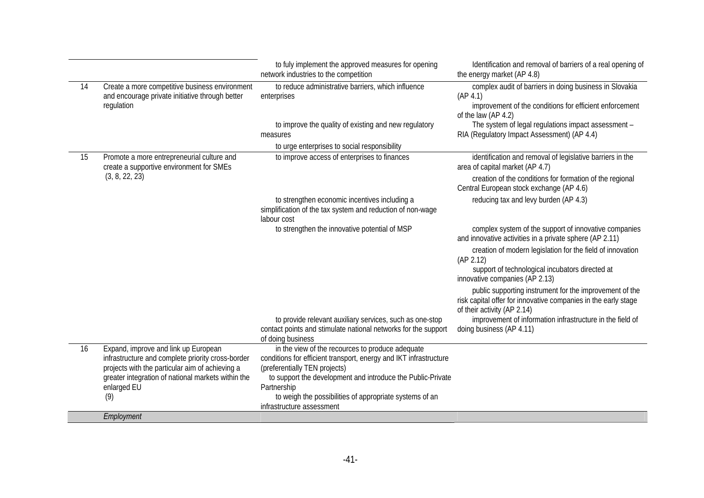|    |                                                                                                                                              | to fuly implement the approved measures for opening<br>network industries to the competition                                                           | Identification and removal of barriers of a real opening of<br>the energy market (AP 4.8)                                                                |
|----|----------------------------------------------------------------------------------------------------------------------------------------------|--------------------------------------------------------------------------------------------------------------------------------------------------------|----------------------------------------------------------------------------------------------------------------------------------------------------------|
| 14 | Create a more competitive business environment<br>and encourage private initiative through better<br>regulation                              | to reduce administrative barriers, which influence<br>enterprises                                                                                      | complex audit of barriers in doing business in Slovakia<br>(AP 4.1)<br>improvement of the conditions for efficient enforcement<br>of the law (AP 4.2)    |
|    |                                                                                                                                              | to improve the quality of existing and new regulatory<br>measures                                                                                      | The system of legal regulations impact assessment -<br>RIA (Regulatory Impact Assessment) (AP 4.4)                                                       |
|    |                                                                                                                                              | to urge enterprises to social responsibility                                                                                                           |                                                                                                                                                          |
| 15 | Promote a more entrepreneurial culture and<br>create a supportive environment for SMEs                                                       | to improve access of enterprises to finances                                                                                                           | identification and removal of legislative barriers in the<br>area of capital market (AP 4.7)                                                             |
|    | (3, 8, 22, 23)                                                                                                                               |                                                                                                                                                        | creation of the conditions for formation of the regional<br>Central European stock exchange (AP 4.6)                                                     |
|    |                                                                                                                                              | to strengthen economic incentives including a<br>simplification of the tax system and reduction of non-wage<br>labour cost                             | reducing tax and levy burden (AP 4.3)                                                                                                                    |
|    |                                                                                                                                              | to strengthen the innovative potential of MSP                                                                                                          | complex system of the support of innovative companies<br>and innovative activities in a private sphere (AP 2.11)                                         |
|    |                                                                                                                                              |                                                                                                                                                        | creation of modern legislation for the field of innovation<br>(AP 2.12)                                                                                  |
|    |                                                                                                                                              |                                                                                                                                                        | support of technological incubators directed at<br>innovative companies (AP 2.13)                                                                        |
|    |                                                                                                                                              |                                                                                                                                                        | public supporting instrument for the improvement of the<br>risk capital offer for innovative companies in the early stage<br>of their activity (AP 2.14) |
|    |                                                                                                                                              | to provide relevant auxiliary services, such as one-stop<br>contact points and stimulate national networks for the support<br>of doing business        | improvement of information infrastructure in the field of<br>doing business (AP 4.11)                                                                    |
| 16 | Expand, improve and link up European<br>infrastructure and complete priority cross-border<br>projects with the particular aim of achieving a | in the view of the recources to produce adequate<br>conditions for efficient transport, energy and IKT infrastructure<br>(preferentially TEN projects) |                                                                                                                                                          |
|    | greater integration of national markets within the<br>enlarged EU                                                                            | to support the development and introduce the Public-Private<br>Partnership                                                                             |                                                                                                                                                          |
|    | (9)                                                                                                                                          | to weigh the possibilities of appropriate systems of an<br>infrastructure assessment                                                                   |                                                                                                                                                          |
|    | Employment                                                                                                                                   |                                                                                                                                                        |                                                                                                                                                          |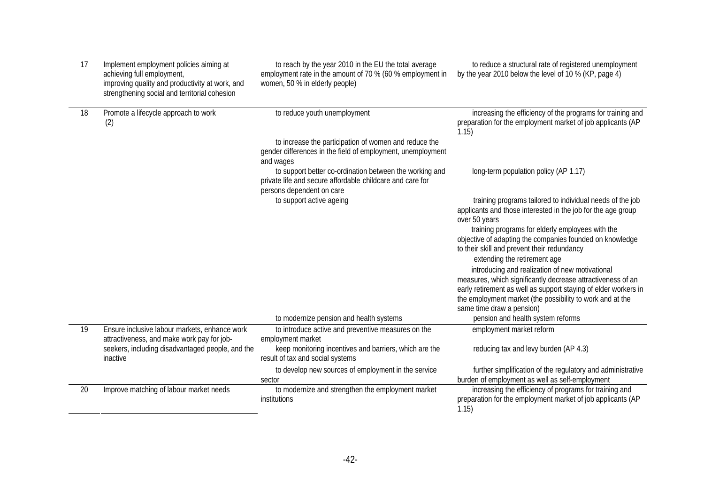| 17 | Implement employment policies aiming at<br>achieving full employment,<br>improving quality and productivity at work, and<br>strengthening social and territorial cohesion | to reach by the year 2010 in the EU the total average<br>employment rate in the amount of 70 % (60 % employment in<br>women, 50 % in elderly people) | to reduce a structural rate of registered unemployment<br>by the year 2010 below the level of 10 % (KP, page 4)                                             |
|----|---------------------------------------------------------------------------------------------------------------------------------------------------------------------------|------------------------------------------------------------------------------------------------------------------------------------------------------|-------------------------------------------------------------------------------------------------------------------------------------------------------------|
| 18 | Promote a lifecycle approach to work<br>(2)                                                                                                                               | to reduce youth unemployment<br>to increase the participation of women and reduce the<br>gender differences in the field of employment, unemployment | increasing the efficiency of the programs for training and<br>preparation for the employment market of job applicants (AP<br>1.15)                          |
|    |                                                                                                                                                                           | and wages                                                                                                                                            |                                                                                                                                                             |
|    |                                                                                                                                                                           | to support better co-ordination between the working and<br>private life and secure affordable childcare and care for<br>persons dependent on care    | long-term population policy (AP 1.17)                                                                                                                       |
|    |                                                                                                                                                                           | to support active ageing                                                                                                                             | training programs tailored to individual needs of the job<br>applicants and those interested in the job for the age group<br>over 50 years                  |
|    |                                                                                                                                                                           |                                                                                                                                                      | training programs for elderly employees with the<br>objective of adapting the companies founded on knowledge<br>to their skill and prevent their redundancy |
|    |                                                                                                                                                                           |                                                                                                                                                      | extending the retirement age                                                                                                                                |
|    |                                                                                                                                                                           |                                                                                                                                                      | introducing and realization of new motivational                                                                                                             |
|    |                                                                                                                                                                           |                                                                                                                                                      | measures, which significantly decrease attractiveness of an<br>early retirement as well as support staying of elder workers in                              |
|    |                                                                                                                                                                           |                                                                                                                                                      | the employment market (the possibility to work and at the                                                                                                   |
|    |                                                                                                                                                                           |                                                                                                                                                      | same time draw a pension)                                                                                                                                   |
|    |                                                                                                                                                                           | to modernize pension and health systems                                                                                                              | pension and health system reforms                                                                                                                           |
| 19 | Ensure inclusive labour markets, enhance work                                                                                                                             | to introduce active and preventive measures on the                                                                                                   | employment market reform                                                                                                                                    |
|    | attractiveness, and make work pay for job-<br>seekers, including disadvantaged people, and the<br>inactive                                                                | employment market<br>keep monitoring incentives and barriers, which are the<br>result of tax and social systems                                      | reducing tax and levy burden (AP 4.3)                                                                                                                       |
|    |                                                                                                                                                                           | to develop new sources of employment in the service<br>sector                                                                                        | further simplification of the regulatory and administrative<br>burden of employment as well as self-employment                                              |
| 20 | Improve matching of labour market needs                                                                                                                                   | to modernize and strengthen the employment market<br>institutions                                                                                    | increasing the efficiency of programs for training and<br>preparation for the employment market of job applicants (AP<br>1.15)                              |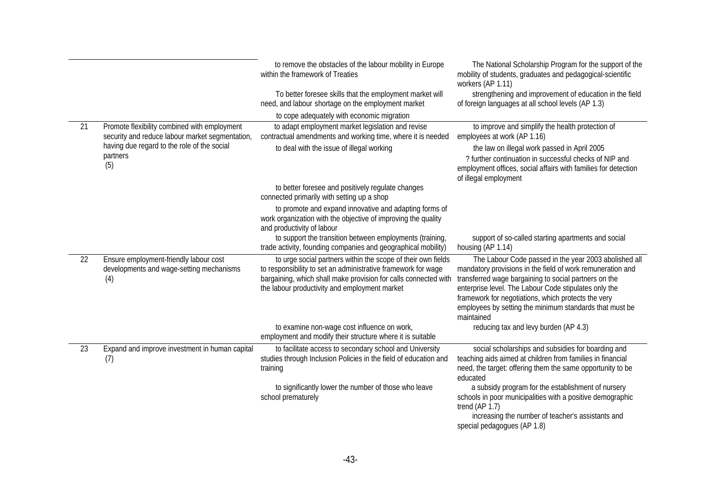|    |                                                                                                 | to remove the obstacles of the labour mobility in Europe<br>within the framework of Treaties                                                                                                                                                      | The National Scholarship Program for the support of the<br>mobility of students, graduates and pedagogical-scientific<br>workers (AP 1.11)                                                                                                                                                                                                                            |
|----|-------------------------------------------------------------------------------------------------|---------------------------------------------------------------------------------------------------------------------------------------------------------------------------------------------------------------------------------------------------|-----------------------------------------------------------------------------------------------------------------------------------------------------------------------------------------------------------------------------------------------------------------------------------------------------------------------------------------------------------------------|
|    |                                                                                                 | To better foresee skills that the employment market will<br>need, and labour shortage on the employment market                                                                                                                                    | strengthening and improvement of education in the field<br>of foreign languages at all school levels (AP 1.3)                                                                                                                                                                                                                                                         |
|    |                                                                                                 | to cope adequately with economic migration                                                                                                                                                                                                        |                                                                                                                                                                                                                                                                                                                                                                       |
| 21 | Promote flexibility combined with employment<br>security and reduce labour market segmentation, | to adapt employment market legislation and revise<br>contractual amendments and working time, where it is needed                                                                                                                                  | to improve and simplify the health protection of<br>employees at work (AP 1.16)                                                                                                                                                                                                                                                                                       |
|    | having due regard to the role of the social<br>partners<br>(5)                                  | to deal with the issue of illegal working                                                                                                                                                                                                         | the law on illegal work passed in April 2005<br>? further continuation in successful checks of NIP and<br>employment offices, social affairs with families for detection<br>of illegal employment                                                                                                                                                                     |
|    |                                                                                                 | to better foresee and positively regulate changes<br>connected primarily with setting up a shop                                                                                                                                                   |                                                                                                                                                                                                                                                                                                                                                                       |
|    |                                                                                                 | to promote and expand innovative and adapting forms of<br>work organization with the objective of improving the quality<br>and productivity of labour                                                                                             |                                                                                                                                                                                                                                                                                                                                                                       |
|    |                                                                                                 | to support the transition between employments (training,<br>trade activity, founding companies and geographical mobility)                                                                                                                         | support of so-called starting apartments and social<br>housing (AP 1.14)                                                                                                                                                                                                                                                                                              |
| 22 | Ensure employment-friendly labour cost<br>developments and wage-setting mechanisms<br>(4)       | to urge social partners within the scope of their own fields<br>to responsibility to set an administrative framework for wage<br>bargaining, which shall make provision for calls connected with<br>the labour productivity and employment market | The Labour Code passed in the year 2003 abolished all<br>mandatory provisions in the field of work remuneration and<br>transferred wage bargaining to social partners on the<br>enterprise level. The Labour Code stipulates only the<br>framework for negotiations, which protects the very<br>employees by setting the minimum standards that must be<br>maintained |
|    |                                                                                                 | to examine non-wage cost influence on work,<br>employment and modify their structure where it is suitable                                                                                                                                         | reducing tax and levy burden (AP 4.3)                                                                                                                                                                                                                                                                                                                                 |
| 23 | Expand and improve investment in human capital<br>(7)                                           | to facilitate access to secondary school and University<br>studies through Inclusion Policies in the field of education and<br>training                                                                                                           | social scholarships and subsidies for boarding and<br>teaching aids aimed at children from families in financial<br>need, the target: offering them the same opportunity to be<br>educated                                                                                                                                                                            |
|    |                                                                                                 | to significantly lower the number of those who leave<br>school prematurely                                                                                                                                                                        | a subsidy program for the establishment of nursery<br>schools in poor municipalities with a positive demographic<br>trend $(AP 1.7)$<br>increasing the number of teacher's assistants and<br>special pedagogues (AP 1.8)                                                                                                                                              |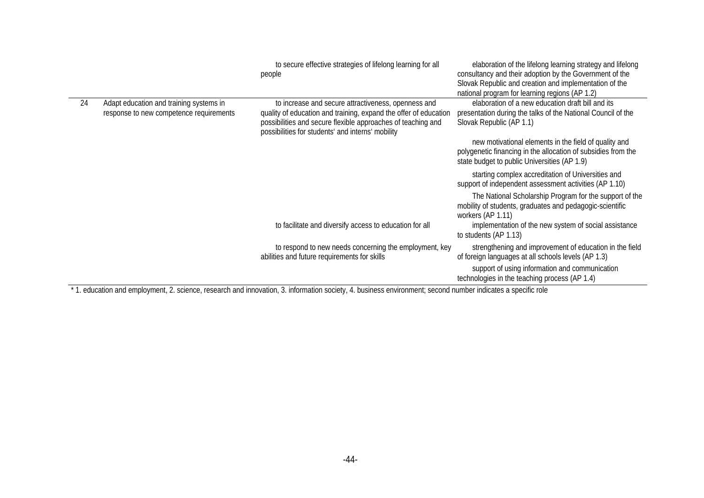|    |                                                                                    | to secure effective strategies of lifelong learning for all<br>people                                                                                                                                                                        | elaboration of the lifelong learning strategy and lifelong<br>consultancy and their adoption by the Government of the<br>Slovak Republic and creation and implementation of the<br>national program for learning regions (AP 1.2) |
|----|------------------------------------------------------------------------------------|----------------------------------------------------------------------------------------------------------------------------------------------------------------------------------------------------------------------------------------------|-----------------------------------------------------------------------------------------------------------------------------------------------------------------------------------------------------------------------------------|
| 24 | Adapt education and training systems in<br>response to new competence requirements | to increase and secure attractiveness, openness and<br>quality of education and training, expand the offer of education<br>possibilities and secure flexible approaches of teaching and<br>possibilities for students' and interns' mobility | elaboration of a new education draft bill and its<br>presentation during the talks of the National Council of the<br>Slovak Republic (AP 1.1)                                                                                     |
|    |                                                                                    |                                                                                                                                                                                                                                              | new motivational elements in the field of quality and<br>polygenetic financing in the allocation of subsidies from the<br>state budget to public Universities (AP 1.9)                                                            |
|    |                                                                                    |                                                                                                                                                                                                                                              | starting complex accreditation of Universities and<br>support of independent assessment activities (AP 1.10)                                                                                                                      |
|    |                                                                                    |                                                                                                                                                                                                                                              | The National Scholarship Program for the support of the<br>mobility of students, graduates and pedagogic-scientific<br>workers (AP 1.11)                                                                                          |
|    |                                                                                    | to facilitate and diversify access to education for all                                                                                                                                                                                      | implementation of the new system of social assistance<br>to students (AP 1.13)                                                                                                                                                    |
|    |                                                                                    | to respond to new needs concerning the employment, key<br>abilities and future requirements for skills                                                                                                                                       | strengthening and improvement of education in the field<br>of foreign languages at all schools levels (AP 1.3)                                                                                                                    |
|    |                                                                                    |                                                                                                                                                                                                                                              | support of using information and communication<br>technologies in the teaching process (AP 1.4)                                                                                                                                   |

\*1. education and employment, 2. science, research and innovation, 3. information society, 4. business environment; second number indicates a specific role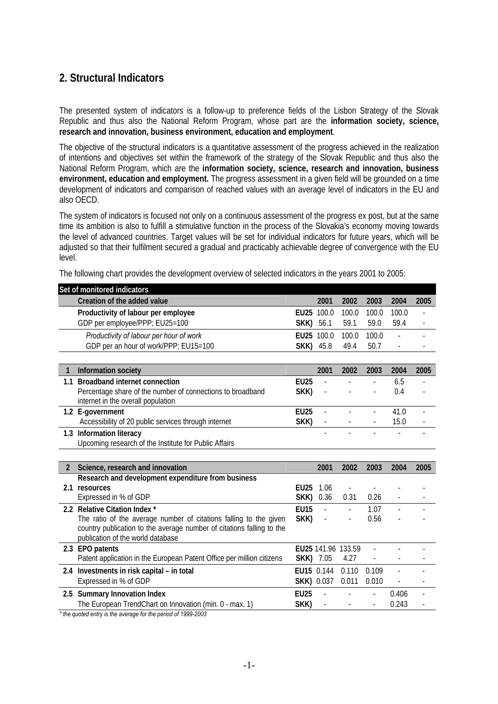# **2. Structural Indicators**

**Set of monitored indicators** 

The presented system of indicators is a follow-up to preference fields of the Lisbon Strategy of the Slovak Republic and thus also the National Reform Program, whose part are the **information society, science, research and innovation, business environment, education and employment**.

The objective of the structural indicators is a quantitative assessment of the progress achieved in the realization of intentions and objectives set within the framework of the strategy of the Slovak Republic and thus also the National Reform Program, which are the **information society, science, research and innovation, business environment, education and employment.** The progress assessment in a given field will be grounded on a time development of indicators and comparison of reached values with an average level of indicators in the EU and also OECD.

The system of indicators is focused not only on a continuous assessment of the progress ex post, but at the same time its ambition is also to fulfill a stimulative function in the process of the Slovakia's economy moving towards the level of advanced countries. Target values will be set for individual indicators for future years, which will be adjusted so that their fulfilment secured a gradual and practicably achievable degree of convergence with the EU level.

 **Creation of the added value 2001 2002 2003 2004 2005 Productivity of labour per employee FIGUS** EU25 100.0 100.0 100.0 100.0 100.0 GDP per employee/PPP; EU25=100 **SKK)** 56.1 59.1 59.0 59.4 *Productivity of labour per hour of work* **EU25** 100.0 100.0 100.0 - - GDP per an hour of work/PPP; EU15=100 **SKK)** 45.8 49.4 50.7 - - **1 Information society 2001 2002 2003 2004 2005 1.1 Broadband internet connection EU25** - - - 6.5 - Percentage share of the number of connections to broadband internet in the overall population **SKK)** - - - 0.4 - **1.2 E-government EU25** - - - 41.0 - Accessibility of 20 public services through internet **SKK)** - - - - - 15.0 **1.3 Information literacy** *n*  $\overline{a}$  *n* $\overline{b}$  **<b>***n*  $\overline{c}$  *n*  $\overline{c}$  *n*  $\overline{c}$  *n*  $\overline{c}$  *n*  $\overline{c}$  *n*  $\overline{c}$  *n*  $\overline{c}$  *n*  $\overline{c}$  *n*  $\overline{c}$  *n*  $\overline{c}$  *n*  $\overline{c}$ Upcoming research of the Institute for Public Affairs **2 Science, research and innovation 2001 2002 2003 2004 2005**  2.1 resources **Research and development expenditure from business resources EU25** 1.06 - - - - Expressed in % of GDP **SKK)** 0.36 0.31 0.26 - - 2.2 Relative Citation Index \* The second second second second second second second second second second second second second second second second second second second second second second second second second second second The ratio of the average number of citations falling to the given country publication to the average number of citations falling to the publication of the world database **SKK)** - - 0.56 **2.3 EPO patents EU25** 141.96 133.59 - - - Patent application in the European Patent Office per million citizens **SKK)** 7.05 4.27 -**2.4 Investments in risk capital – in total EU15** 0.144 0.110 0.109 - - Expressed in % of GDP **SKK)** 0.037 0.011 0.010 - - **2.5 Summary Innovation Index EU25** - - - 0.406 - The European TrendChart on Innovation (min. 0 - max. 1) **SKK)** - - - - 0.243

The following chart provides the development overview of selected indicators in the years 2001 to 2005:

*\* the quoted entry is the average for the period of 1999-2003*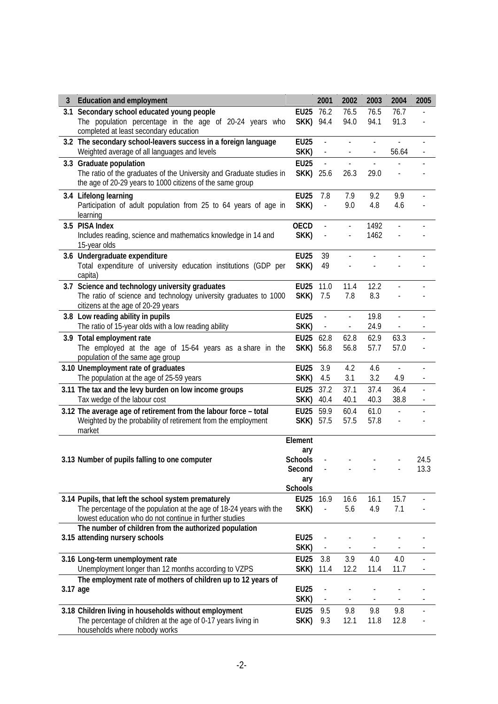| 3 | <b>Education and employment</b>                                                                                                   |                          | 2001                                                 | 2002                     | 2003                     | 2004                     | 2005                     |
|---|-----------------------------------------------------------------------------------------------------------------------------------|--------------------------|------------------------------------------------------|--------------------------|--------------------------|--------------------------|--------------------------|
|   | 3.1 Secondary school educated young people                                                                                        | <b>EU25</b>              | 76.2                                                 | 76.5                     | 76.5                     | 76.7                     |                          |
|   | The population percentage in the age of 20-24 years who<br>completed at least secondary education                                 | SKK)                     | 94.4                                                 | 94.0                     | 94.1                     | 91.3                     | $\overline{a}$           |
|   | 3.2 The secondary school-leavers success in a foreign language<br>Weighted average of all languages and levels                    | <b>EU25</b><br>SKK)      | $\overline{\phantom{a}}$<br>$\overline{\phantom{a}}$ |                          | $\mathbb{Z}^2$           | 56.64                    | $\overline{\phantom{a}}$ |
|   | 3.3 Graduate population                                                                                                           | <b>EU25</b>              | $\frac{1}{2}$                                        | $\blacksquare$           | $\overline{\phantom{a}}$ | $\frac{1}{2}$            |                          |
|   | The ratio of the graduates of the University and Graduate studies in<br>the age of 20-29 years to 1000 citizens of the same group | SKK) 25.6                |                                                      | 26.3                     | 29.0                     |                          |                          |
|   | 3.4 Lifelong learning                                                                                                             | <b>EU25</b>              | 7.8                                                  | 7.9                      | 9.2                      | 9.9                      |                          |
|   | Participation of adult population from 25 to 64 years of age in<br>learning                                                       | SKK)                     | $\overline{\phantom{a}}$                             | 9.0                      | 4.8                      | 4.6                      |                          |
|   | 3.5 PISA Index                                                                                                                    | <b>OECD</b>              |                                                      | $\frac{1}{2}$            | 1492                     |                          |                          |
|   | Includes reading, science and mathematics knowledge in 14 and<br>15-year olds                                                     | SKK)                     | $\overline{\phantom{a}}$                             | $\overline{\phantom{a}}$ | 1462                     |                          |                          |
|   | 3.6 Undergraduate expenditure                                                                                                     | <b>EU25</b>              | 39                                                   |                          |                          |                          |                          |
|   | Total expenditure of university education institutions (GDP per<br>capita)                                                        | SKK)                     | 49                                                   |                          |                          |                          |                          |
|   | 3.7 Science and technology university graduates                                                                                   | <b>EU25</b>              | 11.0                                                 | 11.4                     | 12.2                     |                          |                          |
|   | The ratio of science and technology university graduates to 1000<br>citizens at the age of 20-29 years                            | SKK)                     | 7.5                                                  | 7.8                      | 8.3                      |                          |                          |
|   | 3.8 Low reading ability in pupils                                                                                                 | <b>EU25</b>              | $\blacksquare$                                       | $\overline{\phantom{a}}$ | 19.8                     | $\overline{a}$           |                          |
|   | The ratio of 15-year olds with a low reading ability                                                                              | SKK)                     | $\overline{\phantom{a}}$                             | $\overline{\phantom{a}}$ | 24.9                     | $\overline{\phantom{a}}$ | $\overline{\phantom{a}}$ |
|   | 3.9 Total employment rate                                                                                                         | <b>EU25</b>              | 62.8                                                 | 62.8                     | 62.9                     | 63.3                     | $\overline{a}$           |
|   | The employed at the age of 15-64 years as a share in the<br>population of the same age group                                      | SKK)                     | 56.8                                                 | 56.8                     | 57.7                     | 57.0                     |                          |
|   | 3.10 Unemployment rate of graduates<br>The population at the age of 25-59 years                                                   | <b>EU25</b><br>SKK)      | 3.9<br>4.5                                           | 4.2<br>3.1               | 4.6<br>3.2               | $\Box$<br>4.9            | $\overline{\phantom{a}}$ |
|   | 3.11 The tax and the levy burden on low income groups<br>Tax wedge of the labour cost                                             | <b>EU25</b><br>SKK)      | 37.2<br>40.4                                         | 37.1<br>40.1             | 37.4<br>40.3             | 36.4<br>38.8             | $\overline{\phantom{a}}$ |
|   | 3.12 The average age of retirement from the labour force - total                                                                  | <b>EU25</b>              | 59.9                                                 | 60.4                     | 61.0                     |                          |                          |
|   | Weighted by the probability of retirement from the employment<br>market                                                           | SKK) 57.5                |                                                      | 57.5                     | 57.8                     |                          |                          |
|   |                                                                                                                                   | Element                  |                                                      |                          |                          |                          |                          |
|   |                                                                                                                                   | ary                      |                                                      |                          |                          |                          |                          |
|   | 3.13 Number of pupils falling to one computer                                                                                     | <b>Schools</b><br>Second |                                                      |                          |                          |                          | 24.5<br>13.3             |
|   |                                                                                                                                   | ary                      |                                                      |                          |                          |                          |                          |
|   |                                                                                                                                   | <b>Schools</b>           |                                                      |                          |                          |                          |                          |
|   | 3.14 Pupils, that left the school system prematurely                                                                              | <b>EU25</b>              | 16.9                                                 | 16.6                     | 16.1                     | 15.7                     |                          |
|   | The percentage of the population at the age of 18-24 years with the<br>lowest education who do not continue in further studies    | SKK)                     | $\Box$                                               | 5.6                      | 4.9                      | 7.1                      |                          |
|   | The number of children from the authorized population                                                                             |                          |                                                      |                          |                          |                          |                          |
|   | 3.15 attending nursery schools                                                                                                    | <b>EU25</b><br>SKK)      | $\qquad \qquad \blacksquare$                         |                          |                          |                          |                          |
|   | 3.16 Long-term unemployment rate                                                                                                  | <b>EU25</b>              | 3.8                                                  | 3.9                      | 4.0                      | 4.0                      |                          |
|   | Unemployment longer than 12 months according to VZPS                                                                              | SKK)                     | 11.4                                                 | 12.2                     | 11.4                     | 11.7                     |                          |
|   | The employment rate of mothers of children up to 12 years of                                                                      |                          |                                                      |                          |                          |                          |                          |
|   | 3.17 age                                                                                                                          | <b>EU25</b><br>SKK)      |                                                      |                          |                          |                          |                          |
|   | 3.18 Children living in households without employment                                                                             | <b>EU25</b>              | 9.5                                                  | 9.8                      | 9.8                      | 9.8                      |                          |
|   | The percentage of children at the age of 0-17 years living in                                                                     | SKK)                     | 9.3                                                  | 12.1                     | 11.8                     | 12.8                     |                          |
|   | households where nobody works                                                                                                     |                          |                                                      |                          |                          |                          |                          |